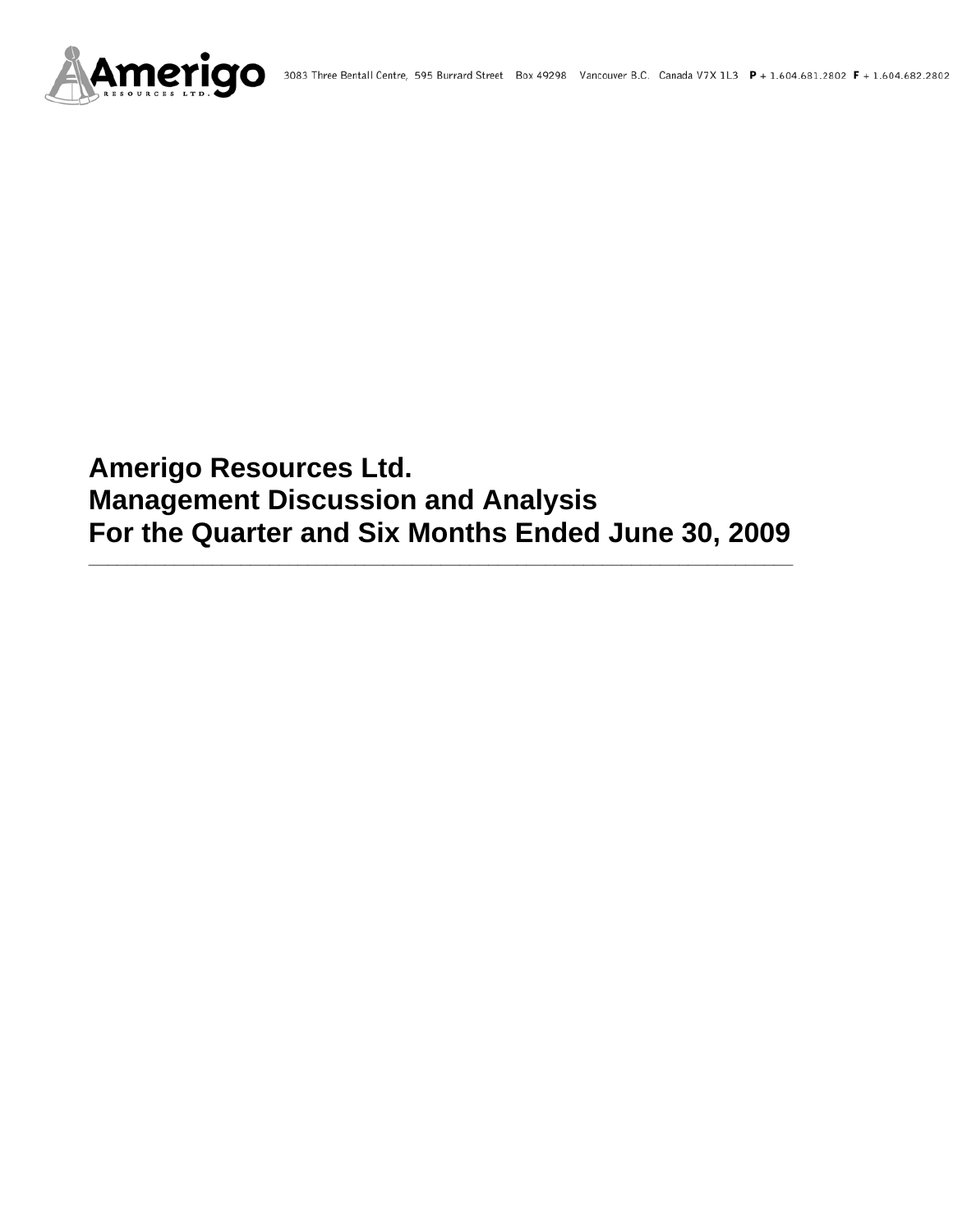

# **Amerigo Resources Ltd. Management Discussion and Analysis For the Quarter and Six Months Ended June 30, 2009**

**\_\_\_\_\_\_\_\_\_\_\_\_\_\_\_\_\_\_\_\_\_\_\_\_\_\_\_\_\_\_\_\_\_\_\_\_\_\_\_\_\_\_\_\_\_\_\_\_\_\_\_\_\_\_\_\_\_\_\_\_\_\_\_\_\_\_\_\_\_\_\_\_\_\_**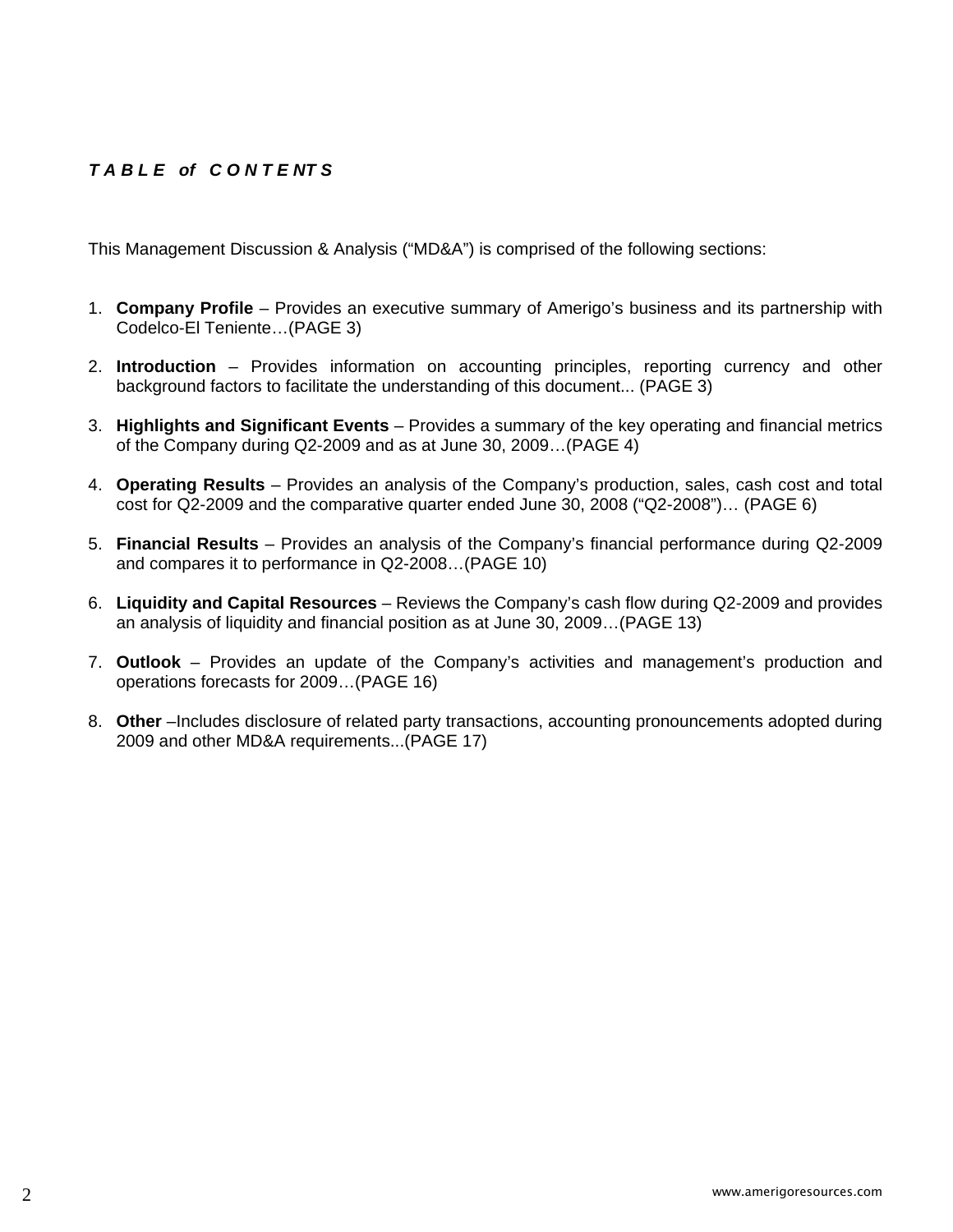# *T A B L E of C O N T E NT S*

This Management Discussion & Analysis ("MD&A") is comprised of the following sections:

- 1. **Company Profile**  Provides an executive summary of Amerigo's business and its partnership with Codelco-El Teniente…(PAGE 3)
- 2. **Introduction**  Provides information on accounting principles, reporting currency and other background factors to facilitate the understanding of this document... (PAGE 3)
- 3. **Highlights and Significant Events** Provides a summary of the key operating and financial metrics of the Company during Q2-2009 and as at June 30, 2009…(PAGE 4)
- 4. **Operating Results** Provides an analysis of the Company's production, sales, cash cost and total cost for Q2-2009 and the comparative quarter ended June 30, 2008 ("Q2-2008")… (PAGE 6)
- 5. **Financial Results** Provides an analysis of the Company's financial performance during Q2-2009 and compares it to performance in Q2-2008…(PAGE 10)
- 6. **Liquidity and Capital Resources** Reviews the Company's cash flow during Q2-2009 and provides an analysis of liquidity and financial position as at June 30, 2009…(PAGE 13)
- 7. **Outlook** Provides an update of the Company's activities and management's production and operations forecasts for 2009…(PAGE 16)
- 8. **Other** –Includes disclosure of related party transactions, accounting pronouncements adopted during 2009 and other MD&A requirements...(PAGE 17)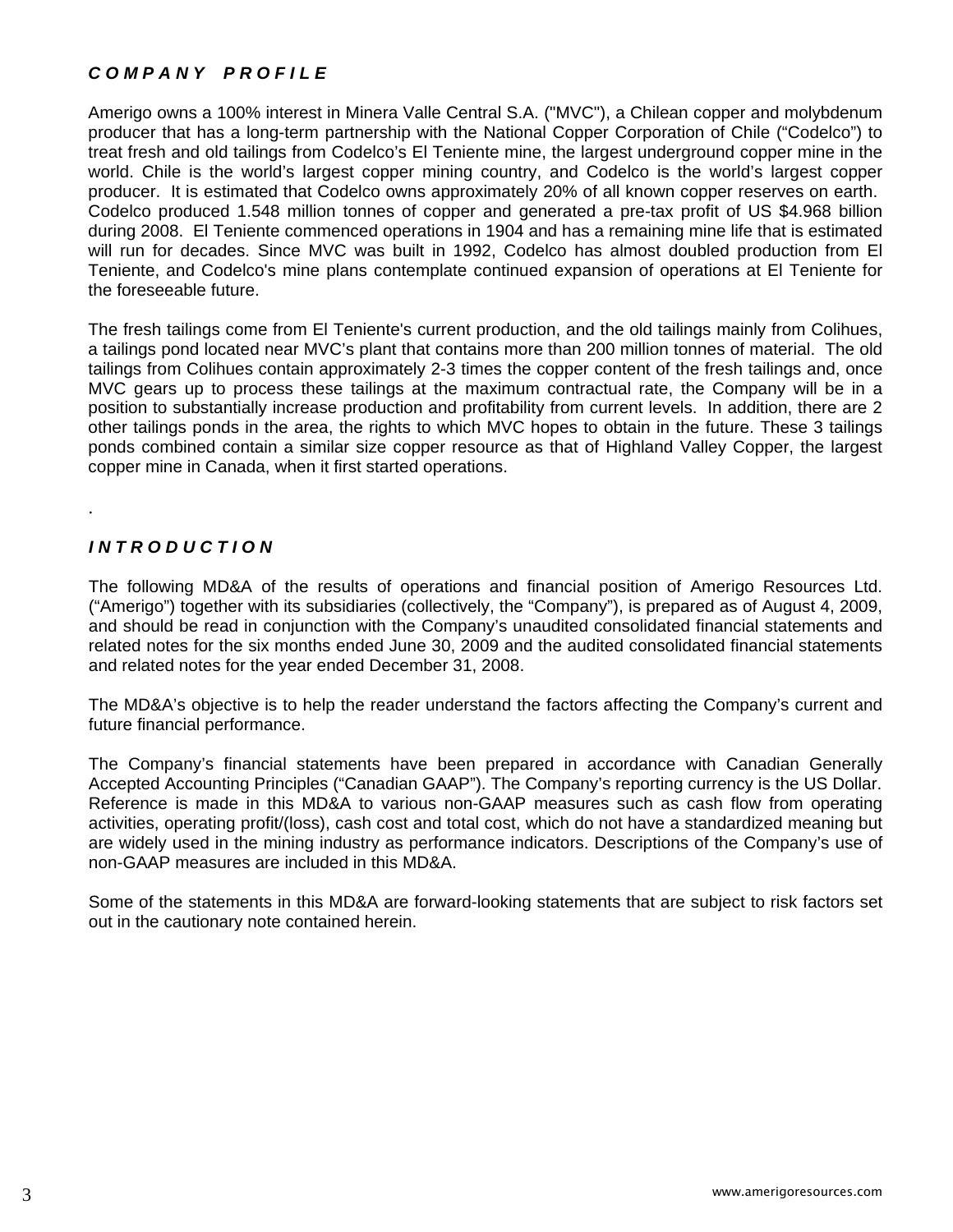# *C O M P A N Y P R O F I L E*

Amerigo owns a 100% interest in Minera Valle Central S.A. ("MVC"), a Chilean copper and molybdenum producer that has a long-term partnership with the National Copper Corporation of Chile ("Codelco") to treat fresh and old tailings from Codelco's El Teniente mine, the largest underground copper mine in the world. Chile is the world's largest copper mining country, and Codelco is the world's largest copper producer. It is estimated that Codelco owns approximately 20% of all known copper reserves on earth. Codelco produced 1.548 million tonnes of copper and generated a pre-tax profit of US \$4.968 billion during 2008. El Teniente commenced operations in 1904 and has a remaining mine life that is estimated will run for decades. Since MVC was built in 1992, Codelco has almost doubled production from El Teniente, and Codelco's mine plans contemplate continued expansion of operations at El Teniente for the foreseeable future.

The fresh tailings come from El Teniente's current production, and the old tailings mainly from Colihues, a tailings pond located near MVC's plant that contains more than 200 million tonnes of material. The old tailings from Colihues contain approximately 2-3 times the copper content of the fresh tailings and, once MVC gears up to process these tailings at the maximum contractual rate, the Company will be in a position to substantially increase production and profitability from current levels. In addition, there are 2 other tailings ponds in the area, the rights to which MVC hopes to obtain in the future. These 3 tailings ponds combined contain a similar size copper resource as that of Highland Valley Copper, the largest copper mine in Canada, when it first started operations.

# *I N T R O D U C T I O N*

.

The following MD&A of the results of operations and financial position of Amerigo Resources Ltd. ("Amerigo") together with its subsidiaries (collectively, the "Company"), is prepared as of August 4, 2009, and should be read in conjunction with the Company's unaudited consolidated financial statements and related notes for the six months ended June 30, 2009 and the audited consolidated financial statements and related notes for the year ended December 31, 2008.

The MD&A's objective is to help the reader understand the factors affecting the Company's current and future financial performance.

The Company's financial statements have been prepared in accordance with Canadian Generally Accepted Accounting Principles ("Canadian GAAP"). The Company's reporting currency is the US Dollar. Reference is made in this MD&A to various non-GAAP measures such as cash flow from operating activities, operating profit/(loss), cash cost and total cost, which do not have a standardized meaning but are widely used in the mining industry as performance indicators. Descriptions of the Company's use of non-GAAP measures are included in this MD&A.

Some of the statements in this MD&A are forward-looking statements that are subject to risk factors set out in the cautionary note contained herein.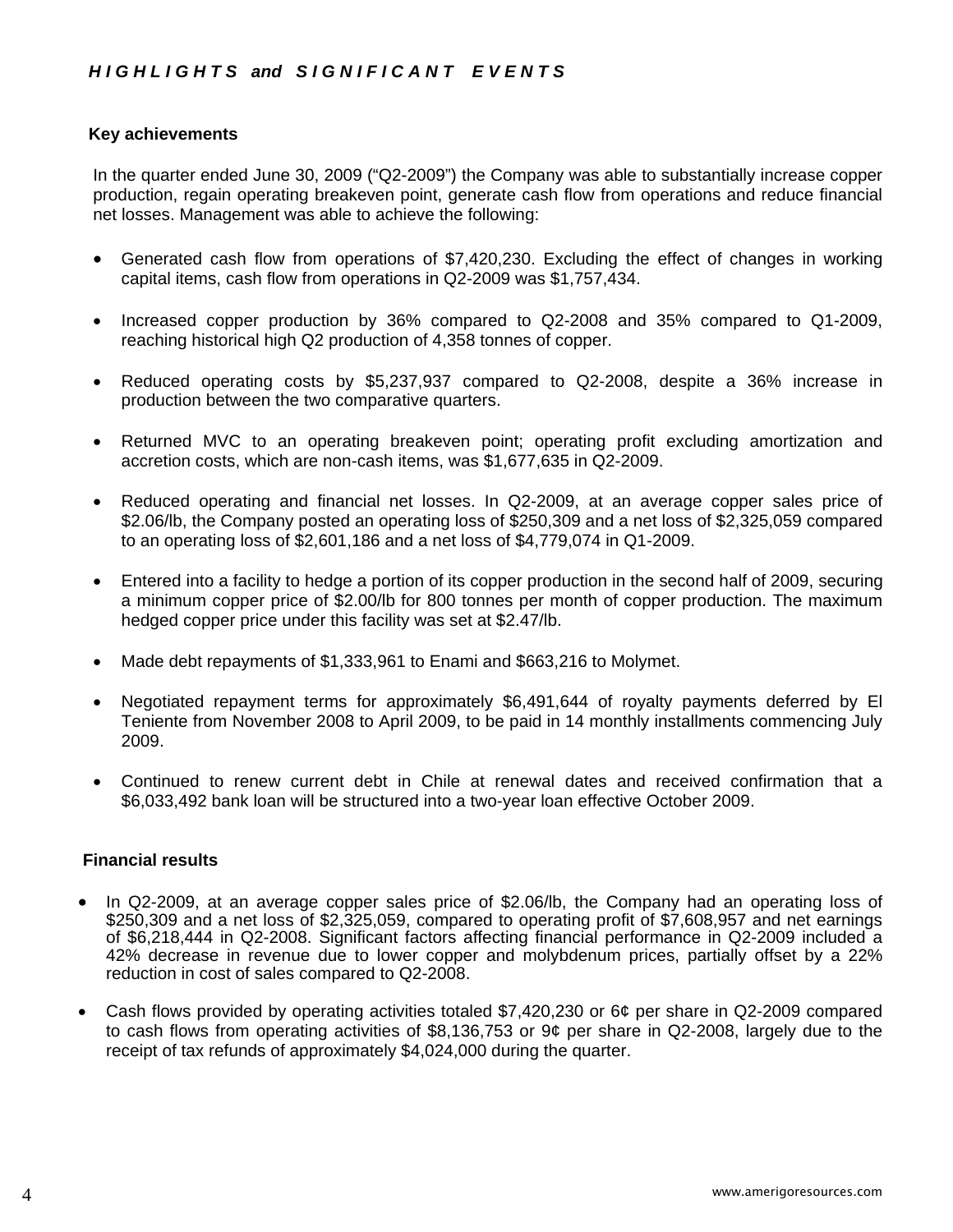#### **Key achievements**

In the quarter ended June 30, 2009 ("Q2-2009") the Company was able to substantially increase copper production, regain operating breakeven point, generate cash flow from operations and reduce financial net losses. Management was able to achieve the following:

- Generated cash flow from operations of \$7,420,230. Excluding the effect of changes in working capital items, cash flow from operations in Q2-2009 was \$1,757,434.
- Increased copper production by 36% compared to Q2-2008 and 35% compared to Q1-2009, reaching historical high Q2 production of 4,358 tonnes of copper.
- Reduced operating costs by \$5,237,937 compared to Q2-2008, despite a 36% increase in production between the two comparative quarters.
- Returned MVC to an operating breakeven point; operating profit excluding amortization and accretion costs, which are non-cash items, was \$1,677,635 in Q2-2009.
- Reduced operating and financial net losses. In Q2-2009, at an average copper sales price of \$2.06/lb, the Company posted an operating loss of \$250,309 and a net loss of \$2,325,059 compared to an operating loss of \$2,601,186 and a net loss of \$4,779,074 in Q1-2009.
- Entered into a facility to hedge a portion of its copper production in the second half of 2009, securing a minimum copper price of \$2.00/lb for 800 tonnes per month of copper production. The maximum hedged copper price under this facility was set at \$2.47/lb.
- Made debt repayments of \$1,333,961 to Enami and \$663,216 to Molymet.
- Negotiated repayment terms for approximately \$6,491,644 of royalty payments deferred by El Teniente from November 2008 to April 2009, to be paid in 14 monthly installments commencing July 2009.
- Continued to renew current debt in Chile at renewal dates and received confirmation that a \$6,033,492 bank loan will be structured into a two-year loan effective October 2009.

#### **Financial results**

- In Q2-2009, at an average copper sales price of \$2.06/lb, the Company had an operating loss of \$250,309 and a net loss of \$2,325,059, compared to operating profit of \$7,608,957 and net earnings of \$6,218,444 in Q2-2008. Significant factors affecting financial performance in Q2-2009 included a 42% decrease in revenue due to lower copper and molybdenum prices, partially offset by a 22% reduction in cost of sales compared to Q2-2008.
- Cash flows provided by operating activities totaled \$7,420,230 or 6¢ per share in Q2-2009 compared to cash flows from operating activities of \$8,136,753 or 9¢ per share in Q2-2008, largely due to the receipt of tax refunds of approximately \$4,024,000 during the quarter.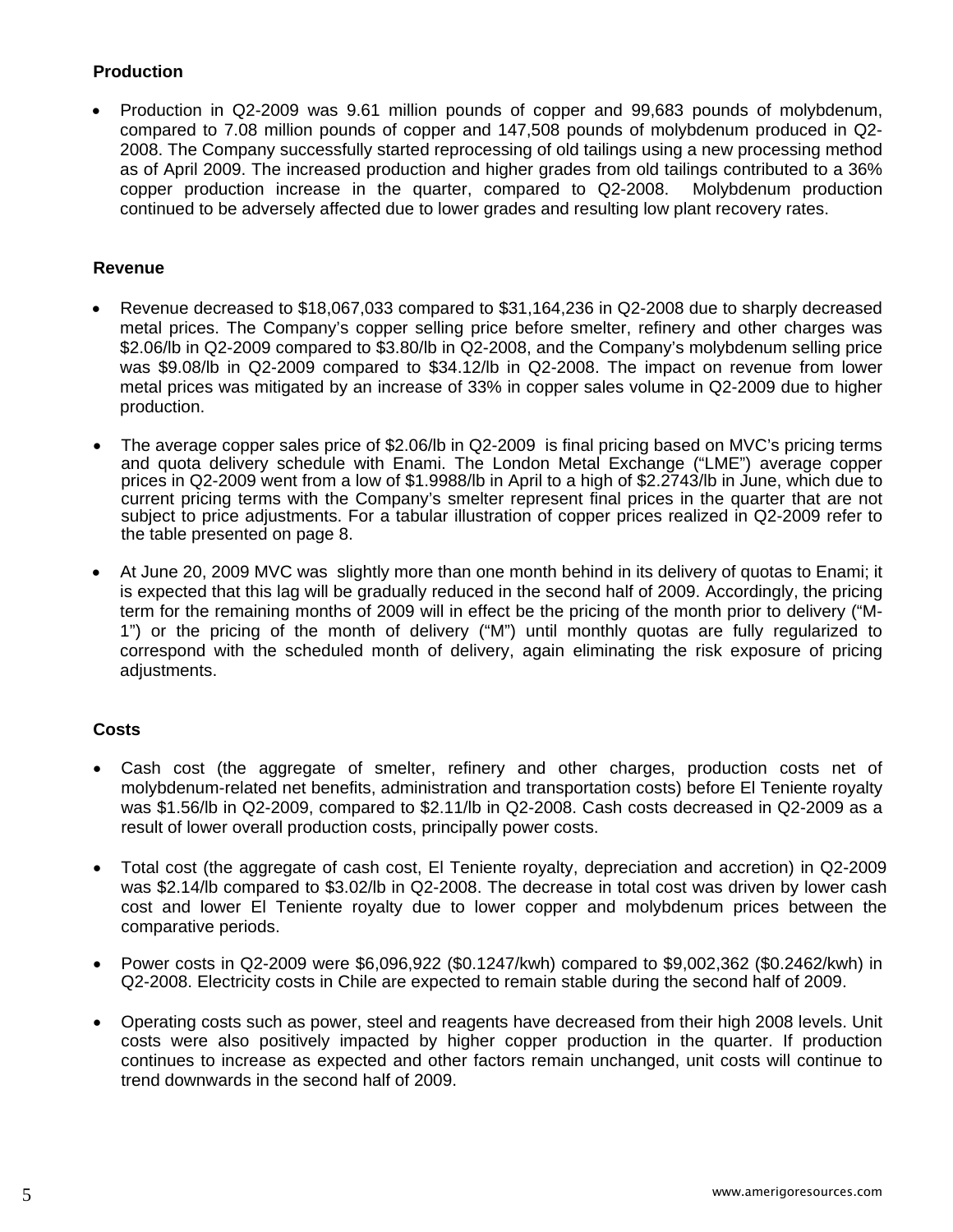# **Production**

• Production in Q2-2009 was 9.61 million pounds of copper and 99,683 pounds of molybdenum, compared to 7.08 million pounds of copper and 147,508 pounds of molybdenum produced in Q2- 2008. The Company successfully started reprocessing of old tailings using a new processing method as of April 2009. The increased production and higher grades from old tailings contributed to a 36% copper production increase in the quarter, compared to Q2-2008. Molybdenum production continued to be adversely affected due to lower grades and resulting low plant recovery rates.

## **Revenue**

- Revenue decreased to \$18,067,033 compared to \$31,164,236 in Q2-2008 due to sharply decreased metal prices. The Company's copper selling price before smelter, refinery and other charges was \$2.06/lb in Q2-2009 compared to \$3.80/lb in Q2-2008, and the Company's molybdenum selling price was \$9.08/lb in Q2-2009 compared to \$34.12/lb in Q2-2008. The impact on revenue from lower metal prices was mitigated by an increase of 33% in copper sales volume in Q2-2009 due to higher production.
- The average copper sales price of \$2.06/lb in Q2-2009 is final pricing based on MVC's pricing terms and quota delivery schedule with Enami. The London Metal Exchange ("LME") average copper prices in Q2-2009 went from a low of \$1.9988/lb in April to a high of \$2.2743/lb in June, which due to current pricing terms with the Company's smelter represent final prices in the quarter that are not subject to price adjustments. For a tabular illustration of copper prices realized in Q2-2009 refer to the table presented on page 8.
- At June 20, 2009 MVC was slightly more than one month behind in its delivery of quotas to Enami; it is expected that this lag will be gradually reduced in the second half of 2009. Accordingly, the pricing term for the remaining months of 2009 will in effect be the pricing of the month prior to delivery ("M-1") or the pricing of the month of delivery ("M") until monthly quotas are fully regularized to correspond with the scheduled month of delivery, again eliminating the risk exposure of pricing adjustments.

# **Costs**

- Cash cost (the aggregate of smelter, refinery and other charges, production costs net of molybdenum-related net benefits, administration and transportation costs) before El Teniente royalty was \$1.56/lb in Q2-2009, compared to \$2.11/lb in Q2-2008. Cash costs decreased in Q2-2009 as a result of lower overall production costs, principally power costs.
- Total cost (the aggregate of cash cost, El Teniente royalty, depreciation and accretion) in Q2-2009 was \$2.14/lb compared to \$3.02/lb in Q2-2008. The decrease in total cost was driven by lower cash cost and lower El Teniente royalty due to lower copper and molybdenum prices between the comparative periods.
- Power costs in Q2-2009 were \$6,096,922 (\$0.1247/kwh) compared to \$9,002,362 (\$0.2462/kwh) in Q2-2008. Electricity costs in Chile are expected to remain stable during the second half of 2009.
- Operating costs such as power, steel and reagents have decreased from their high 2008 levels. Unit costs were also positively impacted by higher copper production in the quarter. If production continues to increase as expected and other factors remain unchanged, unit costs will continue to trend downwards in the second half of 2009.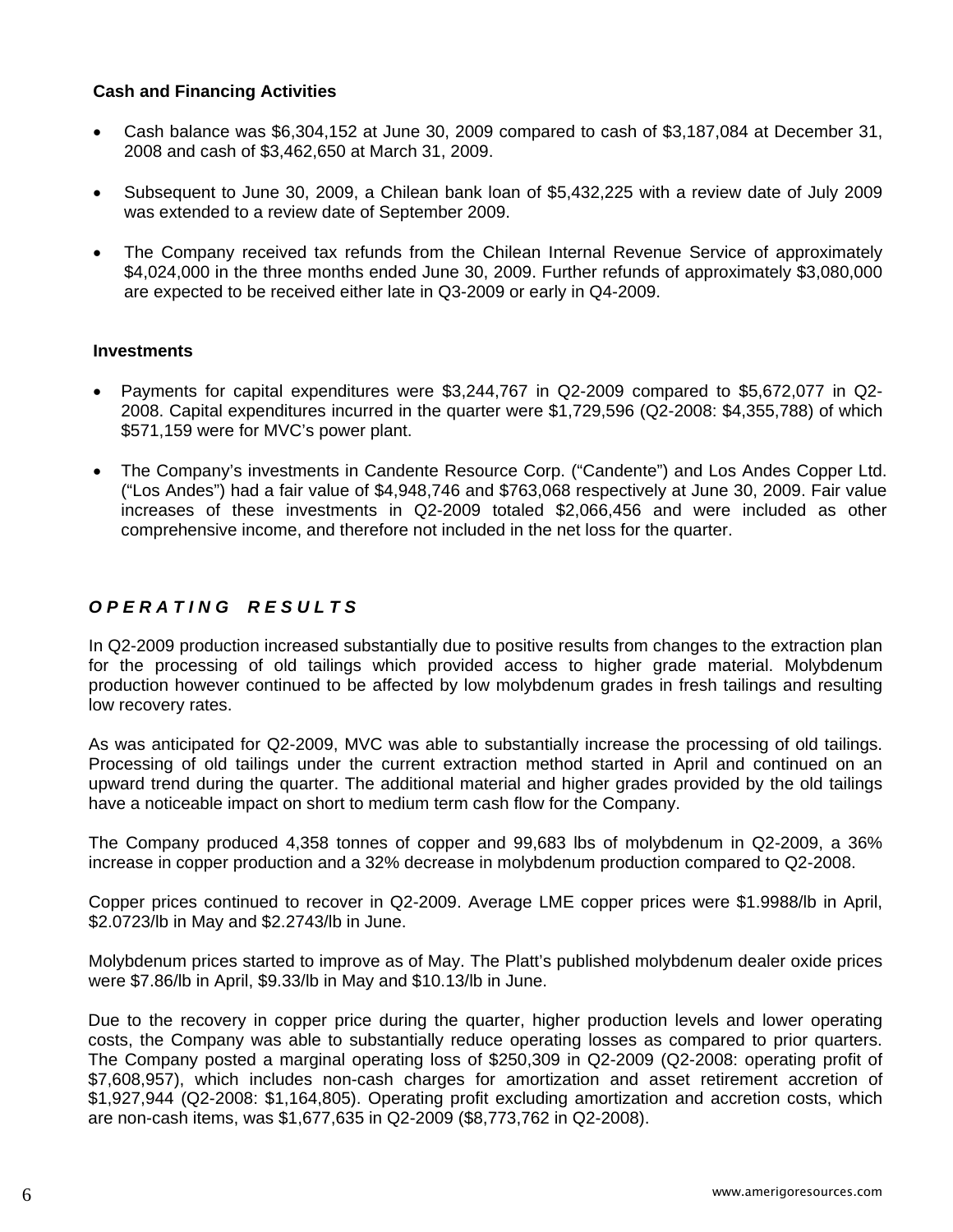## **Cash and Financing Activities**

- Cash balance was \$6,304,152 at June 30, 2009 compared to cash of \$3,187,084 at December 31, 2008 and cash of \$3,462,650 at March 31, 2009.
- Subsequent to June 30, 2009, a Chilean bank loan of \$5,432,225 with a review date of July 2009 was extended to a review date of September 2009.
- The Company received tax refunds from the Chilean Internal Revenue Service of approximately \$4,024,000 in the three months ended June 30, 2009. Further refunds of approximately \$3,080,000 are expected to be received either late in Q3-2009 or early in Q4-2009.

# **Investments**

- Payments for capital expenditures were \$3,244,767 in Q2-2009 compared to \$5,672,077 in Q2- 2008. Capital expenditures incurred in the quarter were \$1,729,596 (Q2-2008: \$4,355,788) of which \$571,159 were for MVC's power plant.
- The Company's investments in Candente Resource Corp. ("Candente") and Los Andes Copper Ltd. ("Los Andes") had a fair value of \$4,948,746 and \$763,068 respectively at June 30, 2009. Fair value increases of these investments in Q2-2009 totaled \$2,066,456 and were included as other comprehensive income, and therefore not included in the net loss for the quarter.

# *O P E R A T I N G R E S U L T S*

In Q2-2009 production increased substantially due to positive results from changes to the extraction plan for the processing of old tailings which provided access to higher grade material. Molybdenum production however continued to be affected by low molybdenum grades in fresh tailings and resulting low recovery rates.

As was anticipated for Q2-2009, MVC was able to substantially increase the processing of old tailings. Processing of old tailings under the current extraction method started in April and continued on an upward trend during the quarter. The additional material and higher grades provided by the old tailings have a noticeable impact on short to medium term cash flow for the Company.

The Company produced 4,358 tonnes of copper and 99,683 lbs of molybdenum in Q2-2009, a 36% increase in copper production and a 32% decrease in molybdenum production compared to Q2-2008.

Copper prices continued to recover in Q2-2009. Average LME copper prices were \$1.9988/lb in April, \$2.0723/lb in May and \$2.2743/lb in June.

Molybdenum prices started to improve as of May. The Platt's published molybdenum dealer oxide prices were \$7.86/lb in April, \$9.33/lb in May and \$10.13/lb in June.

Due to the recovery in copper price during the quarter, higher production levels and lower operating costs, the Company was able to substantially reduce operating losses as compared to prior quarters. The Company posted a marginal operating loss of \$250,309 in Q2-2009 (Q2-2008: operating profit of \$7,608,957), which includes non-cash charges for amortization and asset retirement accretion of \$1,927,944 (Q2-2008: \$1,164,805). Operating profit excluding amortization and accretion costs, which are non-cash items, was \$1,677,635 in Q2-2009 (\$8,773,762 in Q2-2008).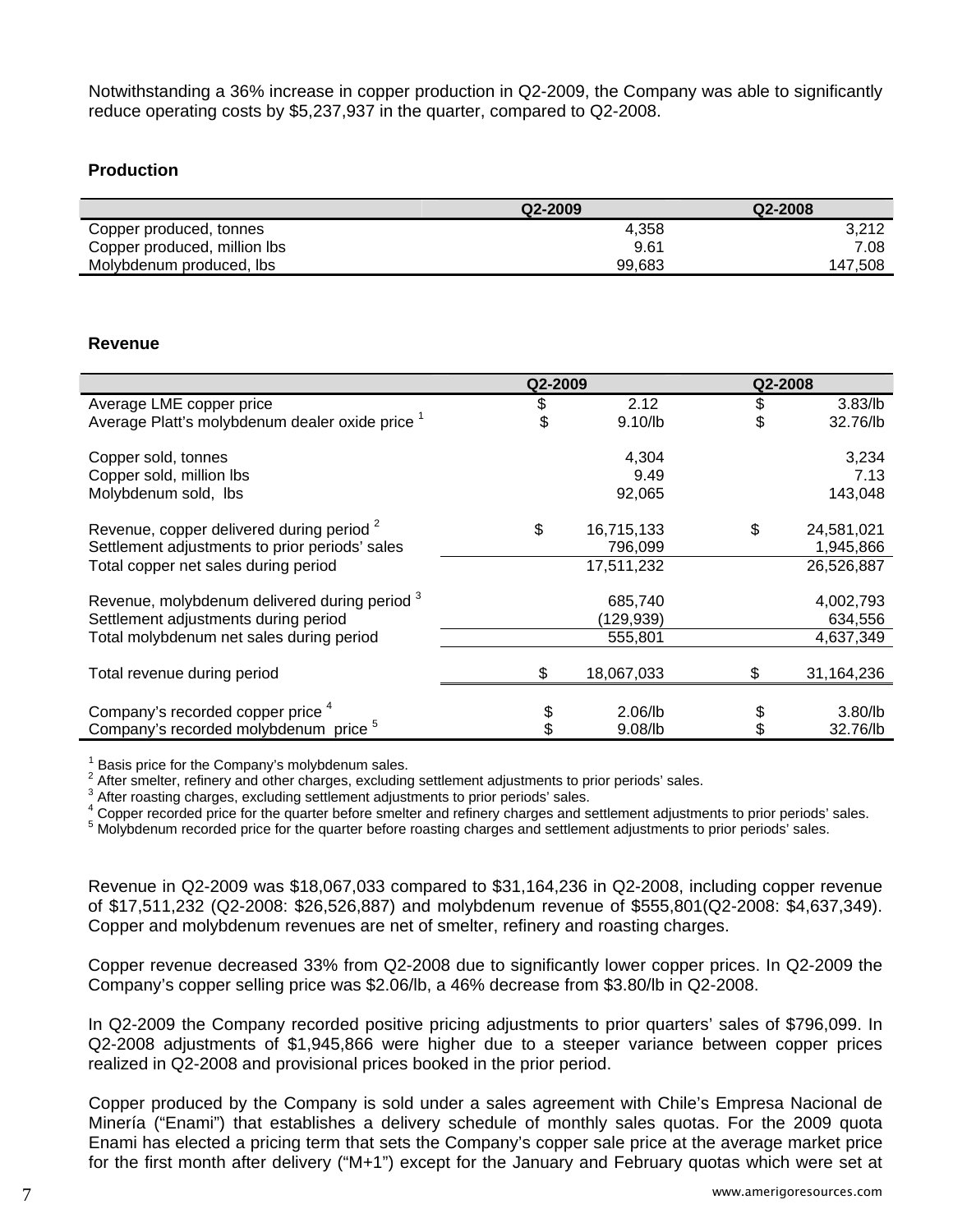Notwithstanding a 36% increase in copper production in Q2-2009, the Company was able to significantly reduce operating costs by \$5,237,937 in the quarter, compared to Q2-2008.

# **Production**

|                              | Q2-2009 | Q2-2008 |
|------------------------------|---------|---------|
| Copper produced, tonnes      | 4,358   | 3.212   |
| Copper produced, million lbs | 9.61    | 7.08    |
| Molybdenum produced, lbs     | 99.683  | 147.508 |

### **Revenue**

|                                                            | Q2-2009          |    | Q2-2008    |
|------------------------------------------------------------|------------------|----|------------|
| Average LME copper price                                   | \$<br>2.12       | \$ | 3.83/lb    |
| Average Platt's molybdenum dealer oxide price <sup>1</sup> | \$<br>9.10/lb    | \$ | 32.76/lb   |
| Copper sold, tonnes                                        | 4,304            |    | 3,234      |
| Copper sold, million lbs                                   | 9.49             |    | 7.13       |
| Molybdenum sold, Ibs                                       | 92,065           |    | 143,048    |
| Revenue, copper delivered during period <sup>2</sup>       | \$<br>16,715,133 | \$ | 24,581,021 |
| Settlement adjustments to prior periods' sales             | 796,099          |    | 1,945,866  |
| Total copper net sales during period                       | 17,511,232       |    | 26,526,887 |
| Revenue, molybdenum delivered during period 3              | 685,740          |    | 4,002,793  |
| Settlement adjustments during period                       | (129,939)        |    | 634,556    |
| Total molybdenum net sales during period                   | 555,801          |    | 4,637,349  |
| Total revenue during period                                | \$<br>18,067,033 | \$ | 31,164,236 |
| Company's recorded copper price <sup>4</sup>               | \$<br>$2.06$ /lb |    | $3.80$ /lb |
| Company's recorded molybdenum price <sup>5</sup>           | 9.08/lb          |    | 32.76/lb   |
|                                                            |                  |    |            |

 $1$  Basis price for the Company's molybdenum sales.

 $2$  After smelter, refinery and other charges, excluding settlement adjustments to prior periods' sales.

 $3$  After roasting charges, excluding settlement adjustments to prior periods' sales.

4 Copper recorded price for the quarter before smelter and refinery charges and settlement adjustments to prior periods' sales.

<sup>5</sup> Molybdenum recorded price for the quarter before roasting charges and settlement adjustments to prior periods' sales.

Revenue in Q2-2009 was \$18,067,033 compared to \$31,164,236 in Q2-2008, including copper revenue of \$17,511,232 (Q2-2008: \$26,526,887) and molybdenum revenue of \$555,801(Q2-2008: \$4,637,349). Copper and molybdenum revenues are net of smelter, refinery and roasting charges.

Copper revenue decreased 33% from Q2-2008 due to significantly lower copper prices. In Q2-2009 the Company's copper selling price was \$2.06/lb, a 46% decrease from \$3.80/lb in Q2-2008.

In Q2-2009 the Company recorded positive pricing adjustments to prior quarters' sales of \$796,099. In Q2-2008 adjustments of \$1,945,866 were higher due to a steeper variance between copper prices realized in Q2-2008 and provisional prices booked in the prior period.

Copper produced by the Company is sold under a sales agreement with Chile's Empresa Nacional de Minería ("Enami") that establishes a delivery schedule of monthly sales quotas. For the 2009 quota Enami has elected a pricing term that sets the Company's copper sale price at the average market price for the first month after delivery ("M+1") except for the January and February quotas which were set at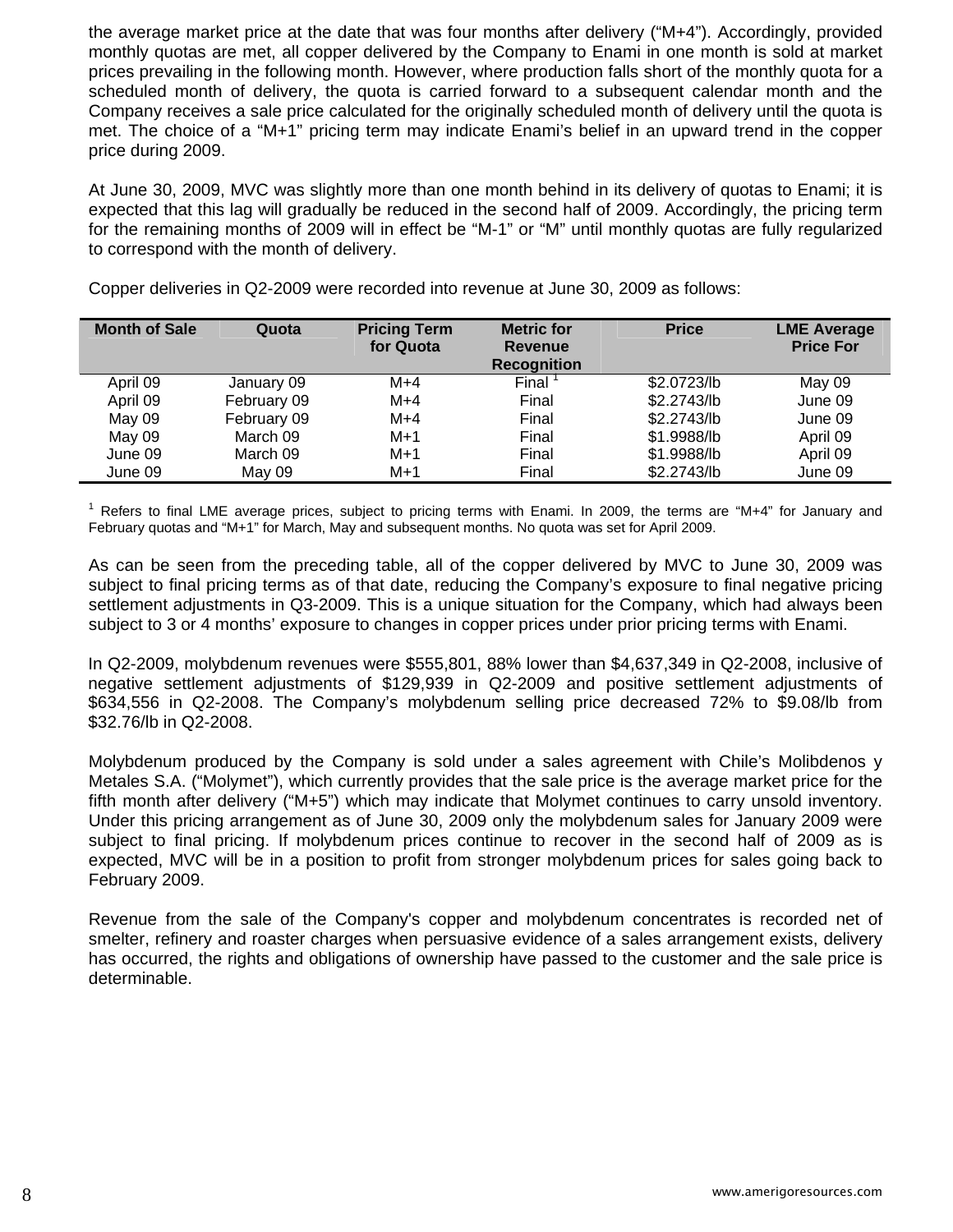the average market price at the date that was four months after delivery ("M+4"). Accordingly, provided monthly quotas are met, all copper delivered by the Company to Enami in one month is sold at market prices prevailing in the following month. However, where production falls short of the monthly quota for a scheduled month of delivery, the quota is carried forward to a subsequent calendar month and the Company receives a sale price calculated for the originally scheduled month of delivery until the quota is met. The choice of a "M+1" pricing term may indicate Enami's belief in an upward trend in the copper price during 2009.

At June 30, 2009, MVC was slightly more than one month behind in its delivery of quotas to Enami; it is expected that this lag will gradually be reduced in the second half of 2009. Accordingly, the pricing term for the remaining months of 2009 will in effect be "M-1" or "M" until monthly quotas are fully regularized to correspond with the month of delivery.

| <b>Month of Sale</b> | Quota       | <b>Pricing Term</b><br>for Quota | <b>Metric for</b><br><b>Revenue</b><br><b>Recognition</b> | <b>Price</b> | <b>LME Average</b><br><b>Price For</b> |
|----------------------|-------------|----------------------------------|-----------------------------------------------------------|--------------|----------------------------------------|
| April 09             | January 09  | $M+4$                            | Final                                                     | \$2.0723/lb  | May 09                                 |
| April 09             | February 09 | $M+4$                            | Final                                                     | \$2.2743/lb  | June 09                                |
| May 09               | February 09 | $M+4$                            | Final                                                     | \$2.2743/lb  | June 09                                |
| May 09               | March 09    | $M+1$                            | Final                                                     | \$1.9988/lb  | April 09                               |
| June 09              | March 09    | $M+1$                            | Final                                                     | \$1.9988/lb  | April 09                               |
| June 09              | May 09      | $M+1$                            | Final                                                     | \$2.2743/lb  | June 09                                |

Copper deliveries in Q2-2009 were recorded into revenue at June 30, 2009 as follows:

<sup>1</sup> Refers to final LME average prices, subject to pricing terms with Enami. In 2009, the terms are "M+4" for January and February quotas and "M+1" for March, May and subsequent months. No quota was set for April 2009.

As can be seen from the preceding table, all of the copper delivered by MVC to June 30, 2009 was subject to final pricing terms as of that date, reducing the Company's exposure to final negative pricing settlement adjustments in Q3-2009. This is a unique situation for the Company, which had always been subject to 3 or 4 months' exposure to changes in copper prices under prior pricing terms with Enami.

In Q2-2009, molybdenum revenues were \$555,801, 88% lower than \$4,637,349 in Q2-2008, inclusive of negative settlement adjustments of \$129,939 in Q2-2009 and positive settlement adjustments of \$634,556 in Q2-2008. The Company's molybdenum selling price decreased 72% to \$9.08/lb from \$32.76/lb in Q2-2008.

Molybdenum produced by the Company is sold under a sales agreement with Chile's Molibdenos y Metales S.A. ("Molymet"), which currently provides that the sale price is the average market price for the fifth month after delivery ("M+5") which may indicate that Molymet continues to carry unsold inventory. Under this pricing arrangement as of June 30, 2009 only the molybdenum sales for January 2009 were subject to final pricing. If molybdenum prices continue to recover in the second half of 2009 as is expected, MVC will be in a position to profit from stronger molybdenum prices for sales going back to February 2009.

Revenue from the sale of the Company's copper and molybdenum concentrates is recorded net of smelter, refinery and roaster charges when persuasive evidence of a sales arrangement exists, delivery has occurred, the rights and obligations of ownership have passed to the customer and the sale price is determinable.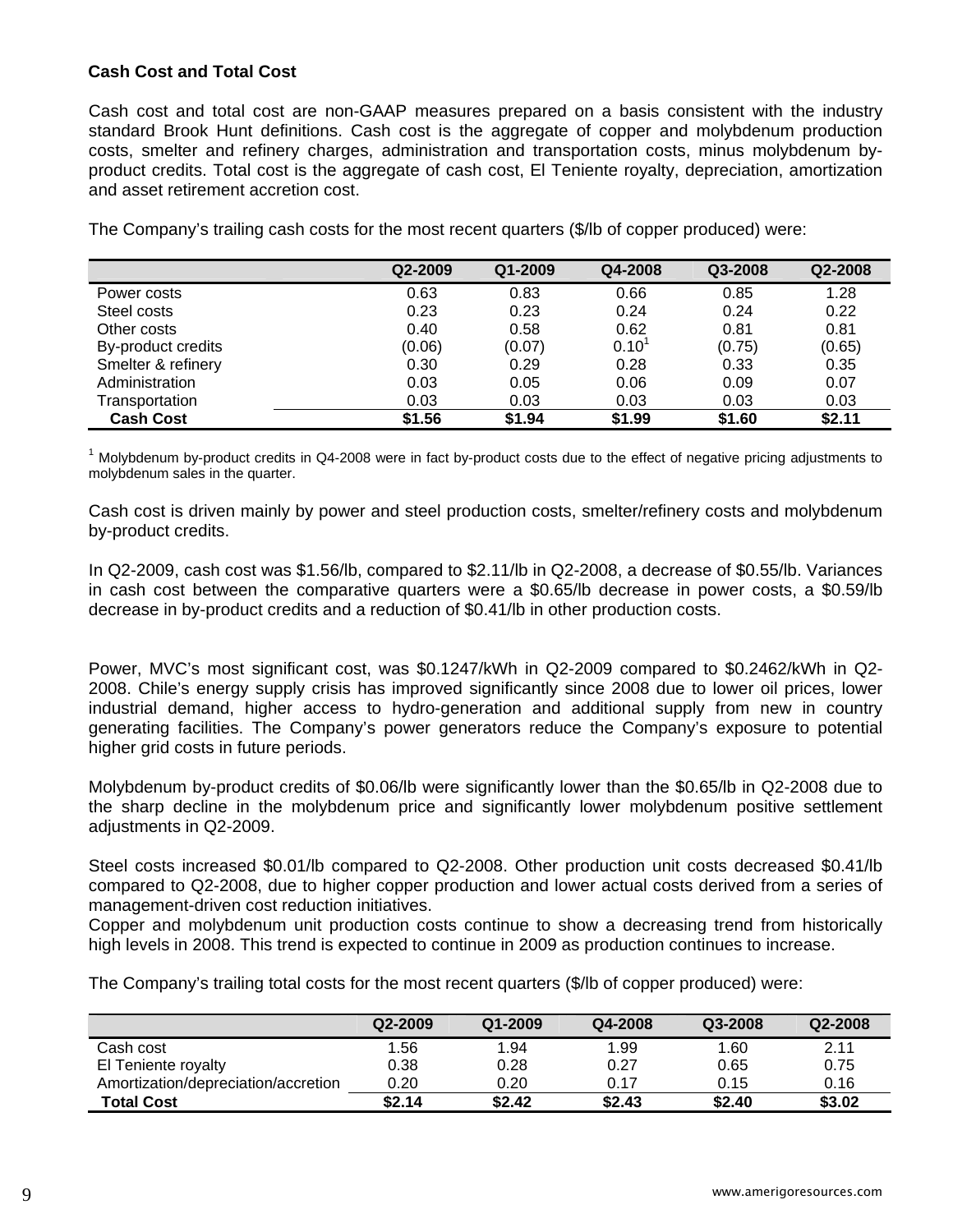# **Cash Cost and Total Cost**

Cash cost and total cost are non-GAAP measures prepared on a basis consistent with the industry standard Brook Hunt definitions. Cash cost is the aggregate of copper and molybdenum production costs, smelter and refinery charges, administration and transportation costs, minus molybdenum byproduct credits. Total cost is the aggregate of cash cost, El Teniente royalty, depreciation, amortization and asset retirement accretion cost.

|  |  | The Company's trailing cash costs for the most recent quarters (\$/lb of copper produced) were: |
|--|--|-------------------------------------------------------------------------------------------------|
|--|--|-------------------------------------------------------------------------------------------------|

|                    | Q2-2009 | Q1-2009 | Q4-2008    | Q3-2008 | Q2-2008 |
|--------------------|---------|---------|------------|---------|---------|
| Power costs        | 0.63    | 0.83    | 0.66       | 0.85    | 1.28    |
| Steel costs        | 0.23    | 0.23    | 0.24       | 0.24    | 0.22    |
| Other costs        | 0.40    | 0.58    | 0.62       | 0.81    | 0.81    |
| By-product credits | (0.06)  | (0.07)  | $0.10^{1}$ | (0.75)  | (0.65)  |
| Smelter & refinery | 0.30    | 0.29    | 0.28       | 0.33    | 0.35    |
| Administration     | 0.03    | 0.05    | 0.06       | 0.09    | 0.07    |
| Transportation     | 0.03    | 0.03    | 0.03       | 0.03    | 0.03    |
| <b>Cash Cost</b>   | \$1.56  | \$1.94  | \$1.99     | \$1.60  | \$2.11  |

<sup>1</sup> Molybdenum by-product credits in Q4-2008 were in fact by-product costs due to the effect of negative pricing adjustments to molybdenum sales in the quarter.

Cash cost is driven mainly by power and steel production costs, smelter/refinery costs and molybdenum by-product credits.

In Q2-2009, cash cost was \$1.56/lb, compared to \$2.11/lb in Q2-2008, a decrease of \$0.55/lb. Variances in cash cost between the comparative quarters were a \$0.65/lb decrease in power costs, a \$0.59/lb decrease in by-product credits and a reduction of \$0.41/lb in other production costs.

Power, MVC's most significant cost, was \$0.1247/kWh in Q2-2009 compared to \$0.2462/kWh in Q2- 2008. Chile's energy supply crisis has improved significantly since 2008 due to lower oil prices, lower industrial demand, higher access to hydro-generation and additional supply from new in country generating facilities. The Company's power generators reduce the Company's exposure to potential higher grid costs in future periods.

Molybdenum by-product credits of \$0.06/lb were significantly lower than the \$0.65/lb in Q2-2008 due to the sharp decline in the molybdenum price and significantly lower molybdenum positive settlement adjustments in Q2-2009.

Steel costs increased \$0.01/lb compared to Q2-2008. Other production unit costs decreased \$0.41/lb compared to Q2-2008, due to higher copper production and lower actual costs derived from a series of management-driven cost reduction initiatives.

Copper and molybdenum unit production costs continue to show a decreasing trend from historically high levels in 2008. This trend is expected to continue in 2009 as production continues to increase.

The Company's trailing total costs for the most recent quarters (\$/lb of copper produced) were:

|                                     | Q2-2009 | Q1-2009 | Q4-2008 | Q3-2008 | Q2-2008 |
|-------------------------------------|---------|---------|---------|---------|---------|
| Cash cost                           | 1.56    | 1.94    | 1.99    | 1.60    | 2.11    |
| El Teniente royalty                 | 0.38    | 0.28    | 0.27    | 0.65    | 0.75    |
| Amortization/depreciation/accretion | 0.20    | 0.20    | 0.17    | 0.15    | 0.16    |
| <b>Total Cost</b>                   | \$2.14  | \$2.42  | \$2.43  | \$2.40  | \$3.02  |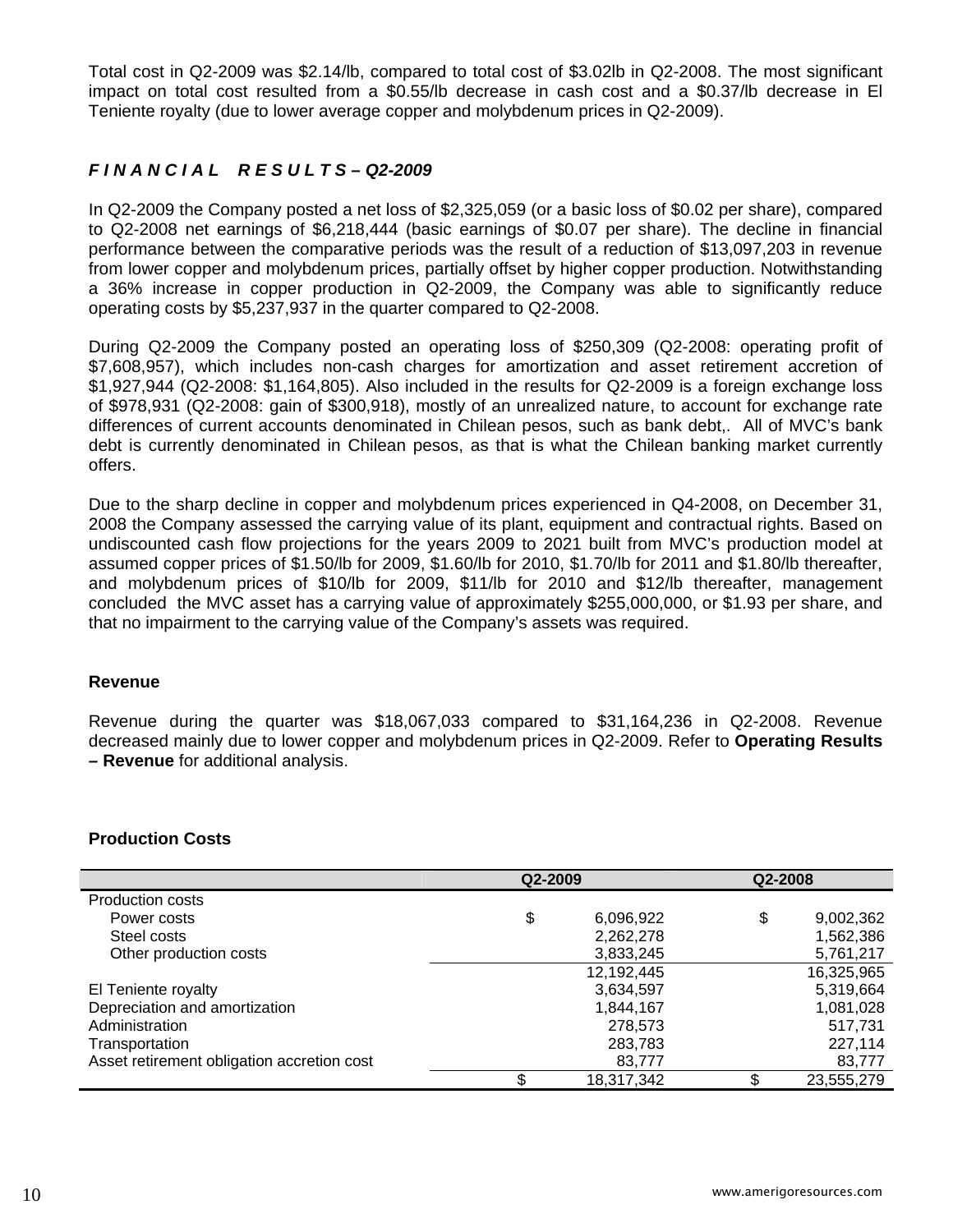Total cost in Q2-2009 was \$2.14/lb, compared to total cost of \$3.02lb in Q2-2008. The most significant impact on total cost resulted from a \$0.55/lb decrease in cash cost and a \$0.37/lb decrease in El Teniente royalty (due to lower average copper and molybdenum prices in Q2-2009).

# *F I N A N C I A L R E S U L T S – Q2-2009*

In Q2-2009 the Company posted a net loss of \$2,325,059 (or a basic loss of \$0.02 per share), compared to Q2-2008 net earnings of \$6,218,444 (basic earnings of \$0.07 per share). The decline in financial performance between the comparative periods was the result of a reduction of \$13,097,203 in revenue from lower copper and molybdenum prices, partially offset by higher copper production. Notwithstanding a 36% increase in copper production in Q2-2009, the Company was able to significantly reduce operating costs by \$5,237,937 in the quarter compared to Q2-2008.

During Q2-2009 the Company posted an operating loss of \$250,309 (Q2-2008: operating profit of \$7,608,957), which includes non-cash charges for amortization and asset retirement accretion of \$1,927,944 (Q2-2008: \$1,164,805). Also included in the results for Q2-2009 is a foreign exchange loss of \$978,931 (Q2-2008: gain of \$300,918), mostly of an unrealized nature, to account for exchange rate differences of current accounts denominated in Chilean pesos, such as bank debt,. All of MVC's bank debt is currently denominated in Chilean pesos, as that is what the Chilean banking market currently offers.

Due to the sharp decline in copper and molybdenum prices experienced in Q4-2008, on December 31, 2008 the Company assessed the carrying value of its plant, equipment and contractual rights. Based on undiscounted cash flow projections for the years 2009 to 2021 built from MVC's production model at assumed copper prices of \$1.50/lb for 2009, \$1.60/lb for 2010, \$1.70/lb for 2011 and \$1.80/lb thereafter, and molybdenum prices of \$10/lb for 2009, \$11/lb for 2010 and \$12/lb thereafter, management concluded the MVC asset has a carrying value of approximately \$255,000,000, or \$1.93 per share, and that no impairment to the carrying value of the Company's assets was required.

#### **Revenue**

Revenue during the quarter was \$18,067,033 compared to \$31,164,236 in Q2-2008. Revenue decreased mainly due to lower copper and molybdenum prices in Q2-2009. Refer to **Operating Results – Revenue** for additional analysis.

#### **Production Costs**

|                                            | Q2-2009         | Q2-2008         |
|--------------------------------------------|-----------------|-----------------|
| <b>Production costs</b>                    |                 |                 |
| Power costs                                | \$<br>6,096,922 | \$<br>9,002,362 |
| Steel costs                                | 2,262,278       | 1,562,386       |
| Other production costs                     | 3,833,245       | 5,761,217       |
|                                            | 12,192,445      | 16,325,965      |
| El Teniente royalty                        | 3,634,597       | 5,319,664       |
| Depreciation and amortization              | 1,844,167       | 1,081,028       |
| Administration                             | 278,573         | 517,731         |
| Transportation                             | 283,783         | 227,114         |
| Asset retirement obligation accretion cost | 83,777          | 83,777          |
|                                            | 18,317,342      | 23,555,279      |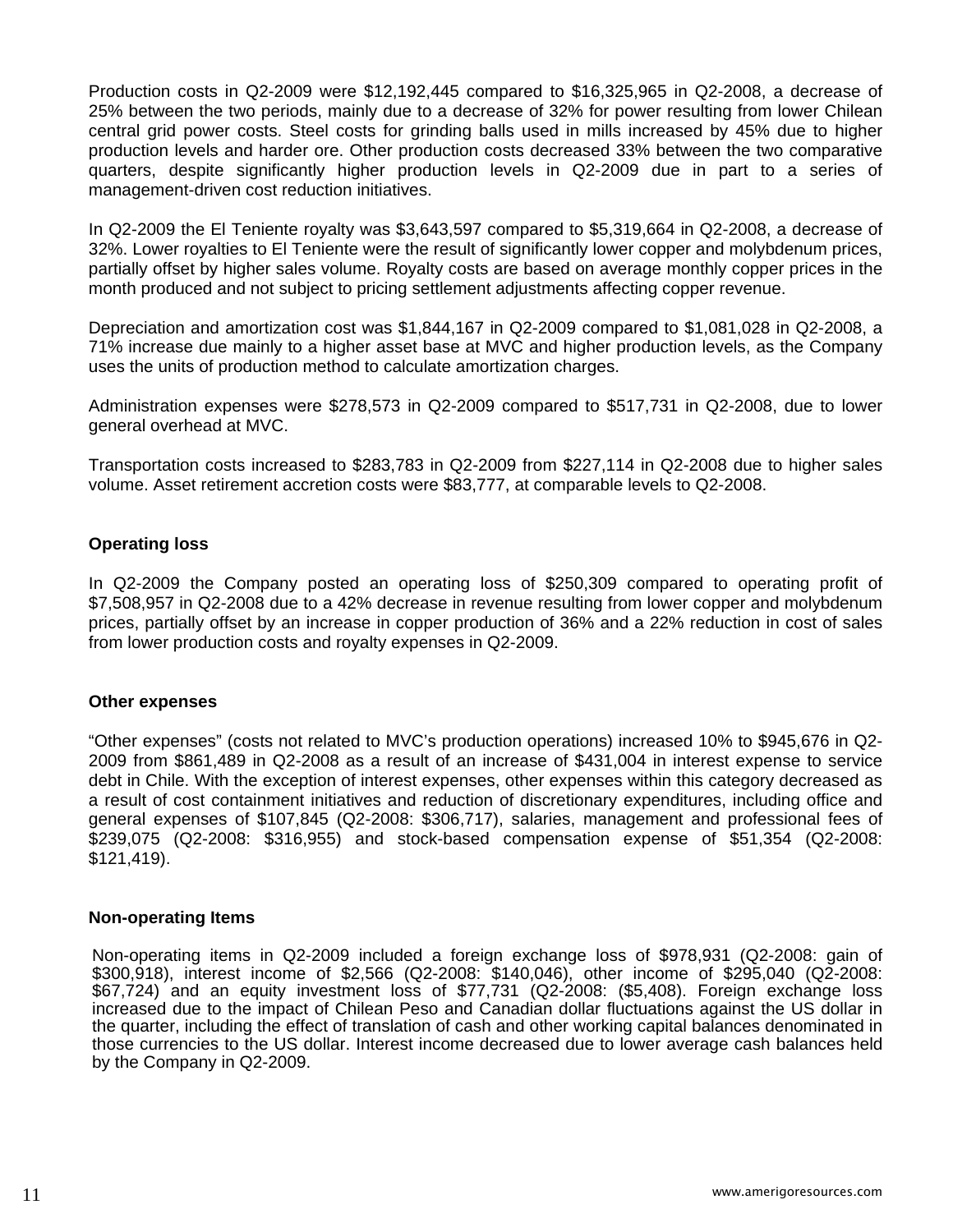Production costs in Q2-2009 were \$12,192,445 compared to \$16,325,965 in Q2-2008, a decrease of 25% between the two periods, mainly due to a decrease of 32% for power resulting from lower Chilean central grid power costs. Steel costs for grinding balls used in mills increased by 45% due to higher production levels and harder ore. Other production costs decreased 33% between the two comparative quarters, despite significantly higher production levels in Q2-2009 due in part to a series of management-driven cost reduction initiatives.

In Q2-2009 the El Teniente royalty was \$3,643,597 compared to \$5,319,664 in Q2-2008, a decrease of 32%. Lower royalties to El Teniente were the result of significantly lower copper and molybdenum prices, partially offset by higher sales volume. Royalty costs are based on average monthly copper prices in the month produced and not subject to pricing settlement adjustments affecting copper revenue.

Depreciation and amortization cost was \$1,844,167 in Q2-2009 compared to \$1,081,028 in Q2-2008, a 71% increase due mainly to a higher asset base at MVC and higher production levels, as the Company uses the units of production method to calculate amortization charges.

Administration expenses were \$278,573 in Q2-2009 compared to \$517,731 in Q2-2008, due to lower general overhead at MVC.

Transportation costs increased to \$283,783 in Q2-2009 from \$227,114 in Q2-2008 due to higher sales volume. Asset retirement accretion costs were \$83,777, at comparable levels to Q2-2008.

### **Operating loss**

In Q2-2009 the Company posted an operating loss of \$250,309 compared to operating profit of \$7,508,957 in Q2-2008 due to a 42% decrease in revenue resulting from lower copper and molybdenum prices, partially offset by an increase in copper production of 36% and a 22% reduction in cost of sales from lower production costs and royalty expenses in Q2-2009.

#### **Other expenses**

"Other expenses" (costs not related to MVC's production operations) increased 10% to \$945,676 in Q2- 2009 from \$861,489 in Q2-2008 as a result of an increase of \$431,004 in interest expense to service debt in Chile. With the exception of interest expenses, other expenses within this category decreased as a result of cost containment initiatives and reduction of discretionary expenditures, including office and general expenses of \$107,845 (Q2-2008: \$306,717), salaries, management and professional fees of \$239,075 (Q2-2008: \$316,955) and stock-based compensation expense of \$51,354 (Q2-2008: \$121,419).

#### **Non-operating Items**

Non-operating items in Q2-2009 included a foreign exchange loss of \$978,931 (Q2-2008: gain of \$300,918), interest income of \$2,566 (Q2-2008: \$140,046), other income of \$295,040 (Q2-2008: \$67,724) and an equity investment loss of \$77,731 (Q2-2008: (\$5,408). Foreign exchange loss increased due to the impact of Chilean Peso and Canadian dollar fluctuations against the US dollar in the quarter, including the effect of translation of cash and other working capital balances denominated in those currencies to the US dollar. Interest income decreased due to lower average cash balances held by the Company in Q2-2009.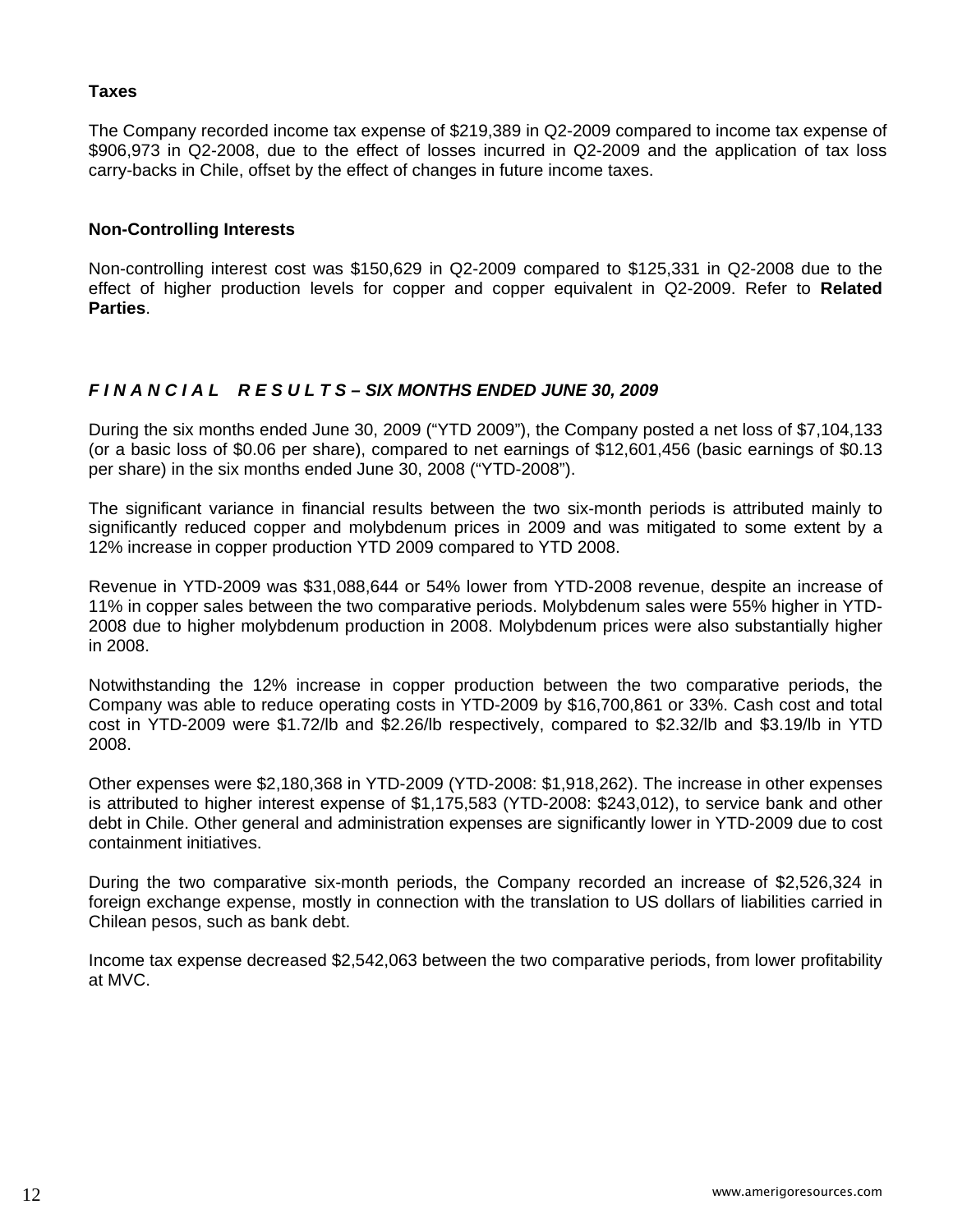## **Taxes**

The Company recorded income tax expense of \$219,389 in Q2-2009 compared to income tax expense of \$906,973 in Q2-2008, due to the effect of losses incurred in Q2-2009 and the application of tax loss carry-backs in Chile, offset by the effect of changes in future income taxes.

### **Non-Controlling Interests**

Non-controlling interest cost was \$150,629 in Q2-2009 compared to \$125,331 in Q2-2008 due to the effect of higher production levels for copper and copper equivalent in Q2-2009. Refer to **Related Parties**.

# *F I N A N C I A L R E S U L T S – SIX MONTHS ENDED JUNE 30, 2009*

During the six months ended June 30, 2009 ("YTD 2009"), the Company posted a net loss of \$7,104,133 (or a basic loss of \$0.06 per share), compared to net earnings of \$12,601,456 (basic earnings of \$0.13 per share) in the six months ended June 30, 2008 ("YTD-2008").

The significant variance in financial results between the two six-month periods is attributed mainly to significantly reduced copper and molybdenum prices in 2009 and was mitigated to some extent by a 12% increase in copper production YTD 2009 compared to YTD 2008.

Revenue in YTD-2009 was \$31,088,644 or 54% lower from YTD-2008 revenue, despite an increase of 11% in copper sales between the two comparative periods. Molybdenum sales were 55% higher in YTD-2008 due to higher molybdenum production in 2008. Molybdenum prices were also substantially higher in 2008.

Notwithstanding the 12% increase in copper production between the two comparative periods, the Company was able to reduce operating costs in YTD-2009 by \$16,700,861 or 33%. Cash cost and total cost in YTD-2009 were \$1.72/lb and \$2.26/lb respectively, compared to \$2.32/lb and \$3.19/lb in YTD 2008.

Other expenses were \$2,180,368 in YTD-2009 (YTD-2008: \$1,918,262). The increase in other expenses is attributed to higher interest expense of \$1,175,583 (YTD-2008: \$243,012), to service bank and other debt in Chile. Other general and administration expenses are significantly lower in YTD-2009 due to cost containment initiatives.

During the two comparative six-month periods, the Company recorded an increase of \$2,526,324 in foreign exchange expense, mostly in connection with the translation to US dollars of liabilities carried in Chilean pesos, such as bank debt.

Income tax expense decreased \$2,542,063 between the two comparative periods, from lower profitability at MVC.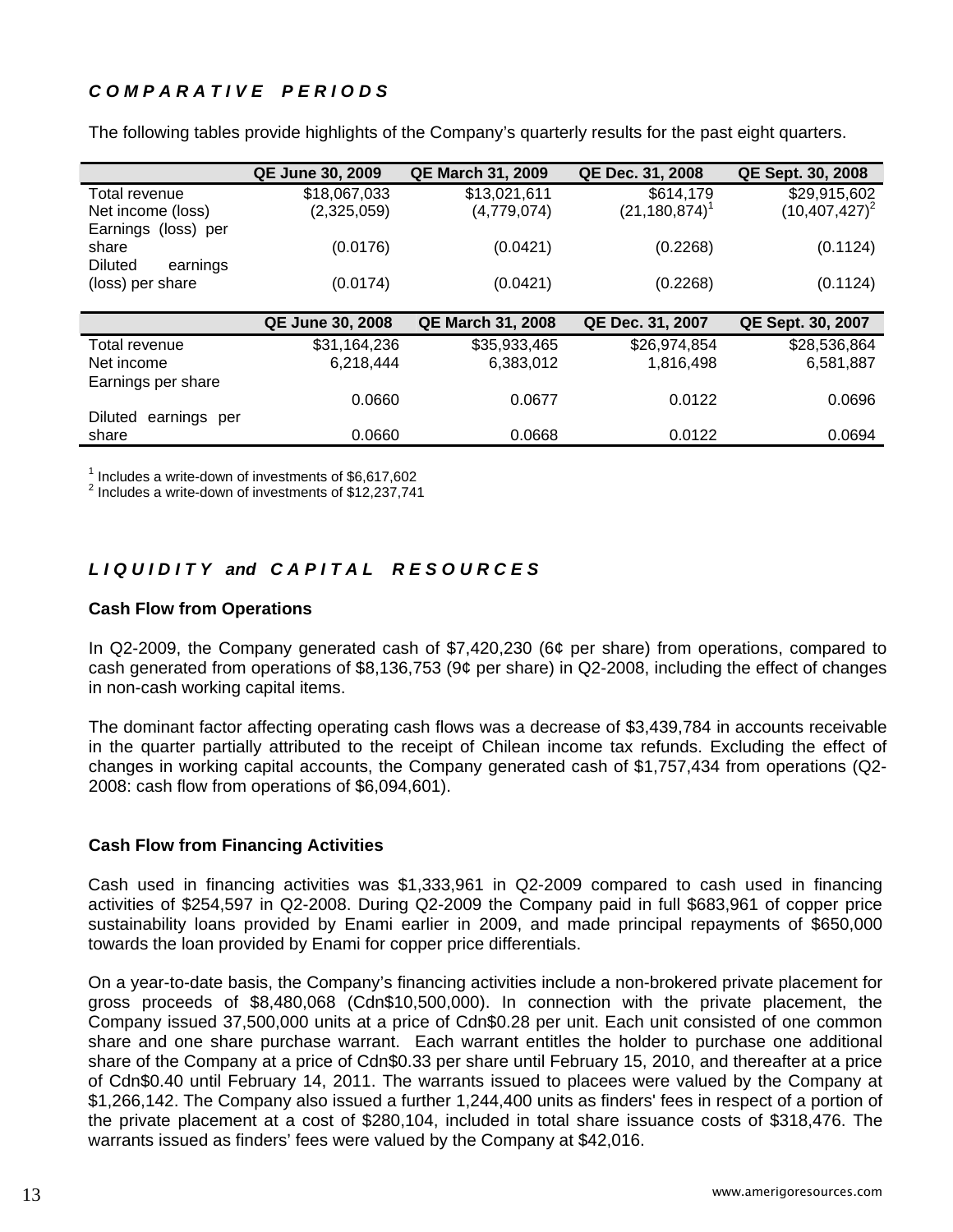# *C O M P A R A T I V E P E R I O D S*

|                         | <b>QE June 30, 2009</b> | <b>QE March 31, 2009</b> | QE Dec. 31, 2008   | QE Sept. 30, 2008 |
|-------------------------|-------------------------|--------------------------|--------------------|-------------------|
| Total revenue           | \$18,067,033            | \$13,021,611             | \$614,179          | \$29,915,602      |
| Net income (loss)       | (2,325,059)             | (4,779,074)              | $(21, 180, 874)^T$ | $(10,407,427)^2$  |
| Earnings (loss) per     |                         |                          |                    |                   |
| share                   | (0.0176)                | (0.0421)                 | (0.2268)           | (0.1124)          |
| Diluted<br>earnings     |                         |                          |                    |                   |
| (loss) per share        | (0.0174)                | (0.0421)                 | (0.2268)           | (0.1124)          |
|                         |                         |                          |                    |                   |
|                         | <b>QE June 30, 2008</b> | <b>QE March 31, 2008</b> | QE Dec. 31, 2007   | QE Sept. 30, 2007 |
| Total revenue           | \$31,164,236            | \$35,933,465             | \$26,974,854       | \$28,536,864      |
| Net income              | 6,218,444               | 6,383,012                | 1,816,498          | 6,581,887         |
| Earnings per share      |                         |                          |                    |                   |
|                         | 0.0660                  | 0.0677                   | 0.0122             | 0.0696            |
| earnings per<br>Diluted |                         |                          |                    |                   |
| share                   | 0.0660                  | 0.0668                   | 0.0122             | 0.0694            |

The following tables provide highlights of the Company's quarterly results for the past eight quarters.

<sup>1</sup> Includes a write-down of investments of  $$6,617,602$ <br> $^2$  lackides a write down of investments of  $$12,227,744$ 

Includes a write-down of investments of \$12,237,741

# *L I Q U I D I T Y and C A P I T A L R E S O U R C E S*

### **Cash Flow from Operations**

In Q2-2009, the Company generated cash of \$7,420,230 (6¢ per share) from operations, compared to cash generated from operations of \$8,136,753 (9¢ per share) in Q2-2008, including the effect of changes in non-cash working capital items.

The dominant factor affecting operating cash flows was a decrease of \$3,439,784 in accounts receivable in the quarter partially attributed to the receipt of Chilean income tax refunds. Excluding the effect of changes in working capital accounts, the Company generated cash of \$1,757,434 from operations (Q2- 2008: cash flow from operations of \$6,094,601).

# **Cash Flow from Financing Activities**

Cash used in financing activities was \$1,333,961 in Q2-2009 compared to cash used in financing activities of \$254,597 in Q2-2008. During Q2-2009 the Company paid in full \$683,961 of copper price sustainability loans provided by Enami earlier in 2009, and made principal repayments of \$650,000 towards the loan provided by Enami for copper price differentials.

On a year-to-date basis, the Company's financing activities include a non-brokered private placement for gross proceeds of \$8,480,068 (Cdn\$10,500,000). In connection with the private placement, the Company issued 37,500,000 units at a price of Cdn\$0.28 per unit. Each unit consisted of one common share and one share purchase warrant. Each warrant entitles the holder to purchase one additional share of the Company at a price of Cdn\$0.33 per share until February 15, 2010, and thereafter at a price of Cdn\$0.40 until February 14, 2011. The warrants issued to placees were valued by the Company at \$1,266,142. The Company also issued a further 1,244,400 units as finders' fees in respect of a portion of the private placement at a cost of \$280,104, included in total share issuance costs of \$318,476. The warrants issued as finders' fees were valued by the Company at \$42,016.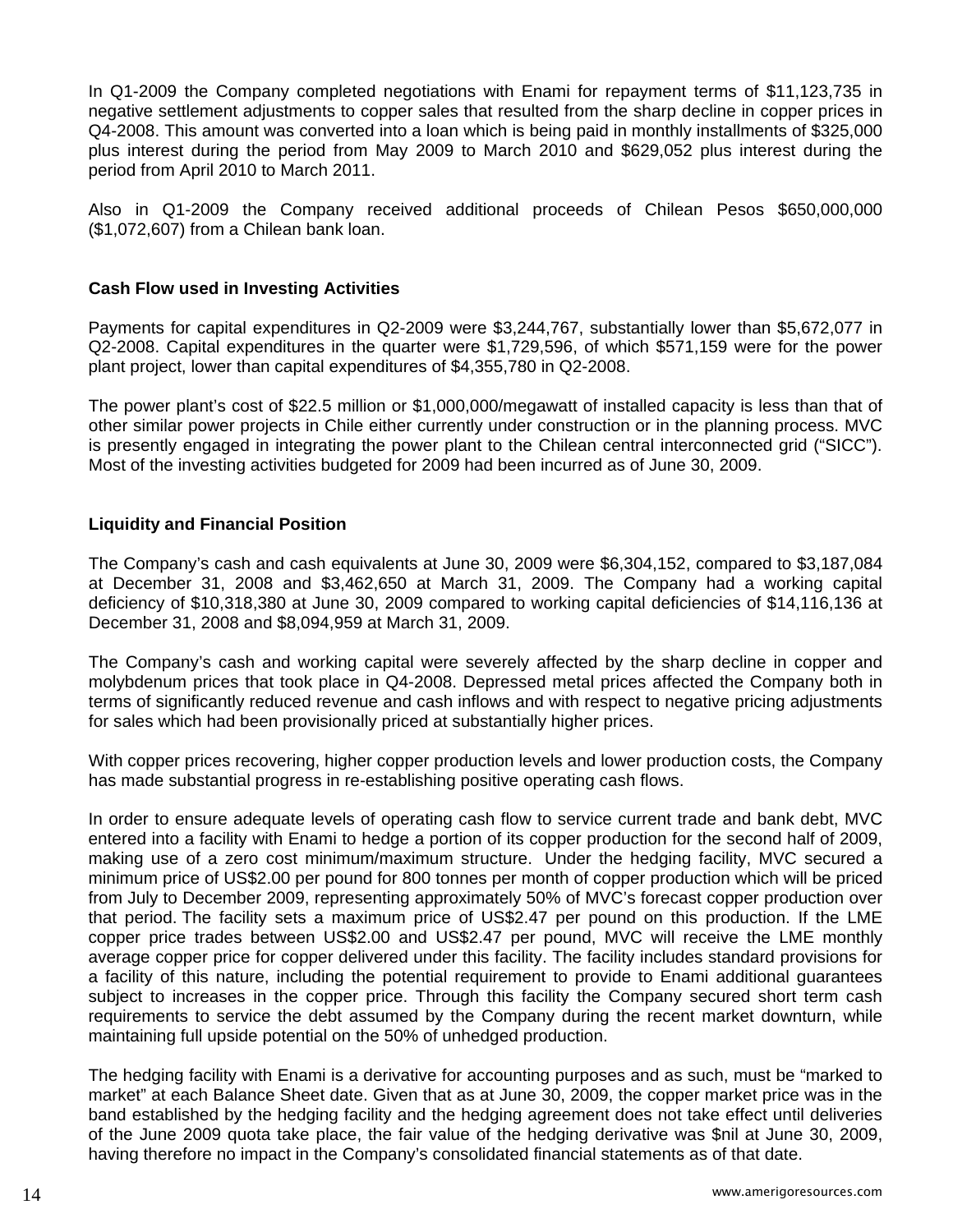In Q1-2009 the Company completed negotiations with Enami for repayment terms of \$11,123,735 in negative settlement adjustments to copper sales that resulted from the sharp decline in copper prices in Q4-2008. This amount was converted into a loan which is being paid in monthly installments of \$325,000 plus interest during the period from May 2009 to March 2010 and \$629,052 plus interest during the period from April 2010 to March 2011.

Also in Q1-2009 the Company received additional proceeds of Chilean Pesos \$650,000,000 (\$1,072,607) from a Chilean bank loan.

### **Cash Flow used in Investing Activities**

Payments for capital expenditures in Q2-2009 were \$3,244,767, substantially lower than \$5,672,077 in Q2-2008. Capital expenditures in the quarter were \$1,729,596, of which \$571,159 were for the power plant project, lower than capital expenditures of \$4,355,780 in Q2-2008.

The power plant's cost of \$22.5 million or \$1,000,000/megawatt of installed capacity is less than that of other similar power projects in Chile either currently under construction or in the planning process. MVC is presently engaged in integrating the power plant to the Chilean central interconnected grid ("SICC"). Most of the investing activities budgeted for 2009 had been incurred as of June 30, 2009.

### **Liquidity and Financial Position**

The Company's cash and cash equivalents at June 30, 2009 were \$6,304,152, compared to \$3,187,084 at December 31, 2008 and \$3,462,650 at March 31, 2009. The Company had a working capital deficiency of \$10,318,380 at June 30, 2009 compared to working capital deficiencies of \$14,116,136 at December 31, 2008 and \$8,094,959 at March 31, 2009.

The Company's cash and working capital were severely affected by the sharp decline in copper and molybdenum prices that took place in Q4-2008. Depressed metal prices affected the Company both in terms of significantly reduced revenue and cash inflows and with respect to negative pricing adjustments for sales which had been provisionally priced at substantially higher prices.

With copper prices recovering, higher copper production levels and lower production costs, the Company has made substantial progress in re-establishing positive operating cash flows.

In order to ensure adequate levels of operating cash flow to service current trade and bank debt, MVC entered into a facility with Enami to hedge a portion of its copper production for the second half of 2009, making use of a zero cost minimum/maximum structure. Under the hedging facility, MVC secured a minimum price of US\$2.00 per pound for 800 tonnes per month of copper production which will be priced from July to December 2009, representing approximately 50% of MVC's forecast copper production over that period. The facility sets a maximum price of US\$2.47 per pound on this production. If the LME copper price trades between US\$2.00 and US\$2.47 per pound, MVC will receive the LME monthly average copper price for copper delivered under this facility. The facility includes standard provisions for a facility of this nature, including the potential requirement to provide to Enami additional guarantees subject to increases in the copper price. Through this facility the Company secured short term cash requirements to service the debt assumed by the Company during the recent market downturn, while maintaining full upside potential on the 50% of unhedged production.

The hedging facility with Enami is a derivative for accounting purposes and as such, must be "marked to market" at each Balance Sheet date. Given that as at June 30, 2009, the copper market price was in the band established by the hedging facility and the hedging agreement does not take effect until deliveries of the June 2009 quota take place, the fair value of the hedging derivative was \$nil at June 30, 2009, having therefore no impact in the Company's consolidated financial statements as of that date.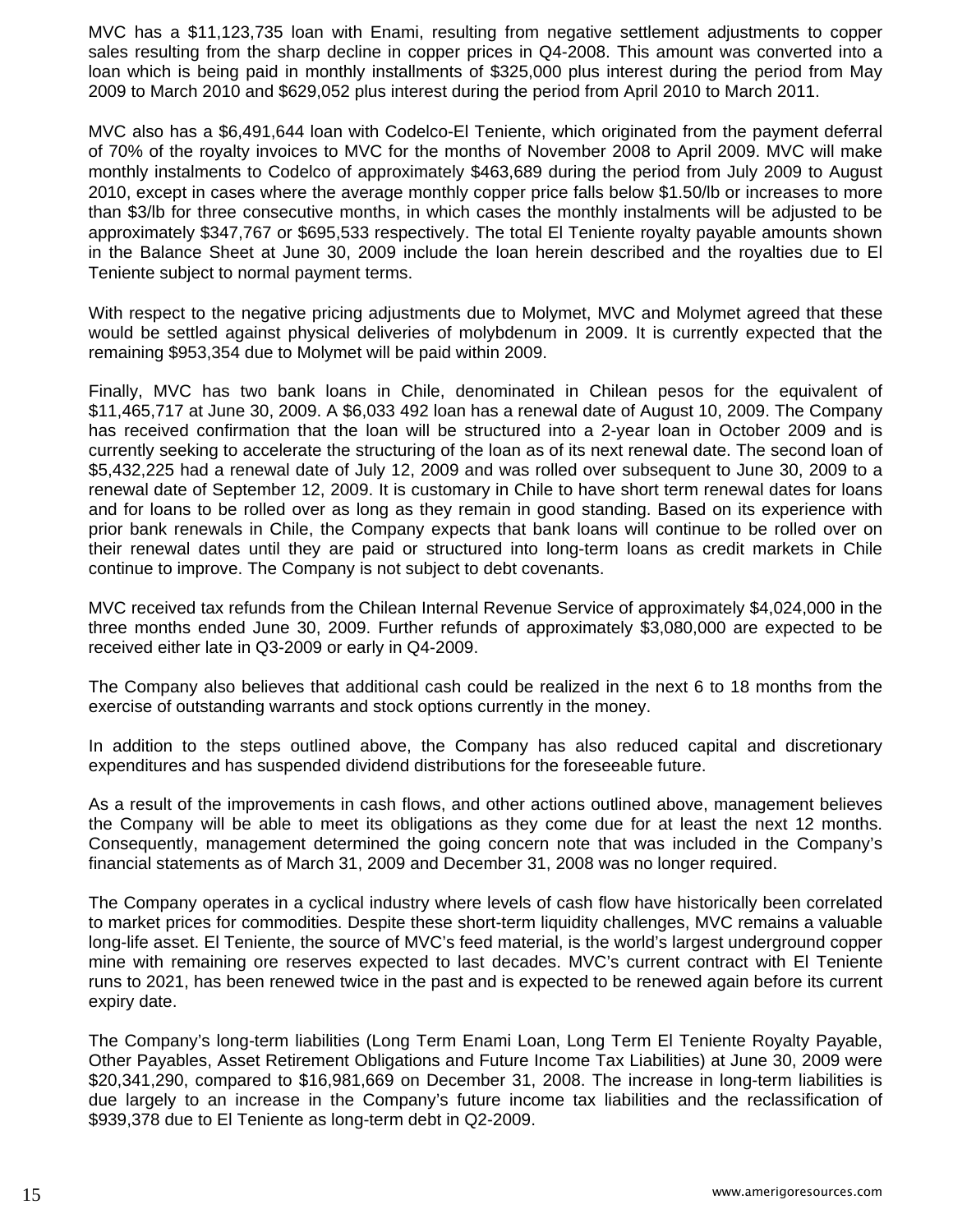MVC has a \$11,123,735 loan with Enami, resulting from negative settlement adjustments to copper sales resulting from the sharp decline in copper prices in Q4-2008. This amount was converted into a loan which is being paid in monthly installments of \$325,000 plus interest during the period from May 2009 to March 2010 and \$629,052 plus interest during the period from April 2010 to March 2011.

MVC also has a \$6,491,644 loan with Codelco-El Teniente, which originated from the payment deferral of 70% of the royalty invoices to MVC for the months of November 2008 to April 2009. MVC will make monthly instalments to Codelco of approximately \$463,689 during the period from July 2009 to August 2010, except in cases where the average monthly copper price falls below \$1.50/lb or increases to more than \$3/lb for three consecutive months, in which cases the monthly instalments will be adjusted to be approximately \$347,767 or \$695,533 respectively. The total El Teniente royalty payable amounts shown in the Balance Sheet at June 30, 2009 include the loan herein described and the royalties due to El Teniente subject to normal payment terms.

With respect to the negative pricing adjustments due to Molymet, MVC and Molymet agreed that these would be settled against physical deliveries of molybdenum in 2009. It is currently expected that the remaining \$953,354 due to Molymet will be paid within 2009.

Finally, MVC has two bank loans in Chile, denominated in Chilean pesos for the equivalent of \$11,465,717 at June 30, 2009. A \$6,033 492 loan has a renewal date of August 10, 2009. The Company has received confirmation that the loan will be structured into a 2-year loan in October 2009 and is currently seeking to accelerate the structuring of the loan as of its next renewal date. The second loan of \$5,432,225 had a renewal date of July 12, 2009 and was rolled over subsequent to June 30, 2009 to a renewal date of September 12, 2009. It is customary in Chile to have short term renewal dates for loans and for loans to be rolled over as long as they remain in good standing. Based on its experience with prior bank renewals in Chile, the Company expects that bank loans will continue to be rolled over on their renewal dates until they are paid or structured into long-term loans as credit markets in Chile continue to improve. The Company is not subject to debt covenants.

MVC received tax refunds from the Chilean Internal Revenue Service of approximately \$4,024,000 in the three months ended June 30, 2009. Further refunds of approximately \$3,080,000 are expected to be received either late in Q3-2009 or early in Q4-2009.

The Company also believes that additional cash could be realized in the next 6 to 18 months from the exercise of outstanding warrants and stock options currently in the money.

In addition to the steps outlined above, the Company has also reduced capital and discretionary expenditures and has suspended dividend distributions for the foreseeable future.

As a result of the improvements in cash flows, and other actions outlined above, management believes the Company will be able to meet its obligations as they come due for at least the next 12 months. Consequently, management determined the going concern note that was included in the Company's financial statements as of March 31, 2009 and December 31, 2008 was no longer required.

The Company operates in a cyclical industry where levels of cash flow have historically been correlated to market prices for commodities. Despite these short-term liquidity challenges, MVC remains a valuable long-life asset. El Teniente, the source of MVC's feed material, is the world's largest underground copper mine with remaining ore reserves expected to last decades. MVC's current contract with El Teniente runs to 2021, has been renewed twice in the past and is expected to be renewed again before its current expiry date.

The Company's long-term liabilities (Long Term Enami Loan, Long Term El Teniente Royalty Payable, Other Payables, Asset Retirement Obligations and Future Income Tax Liabilities) at June 30, 2009 were \$20,341,290, compared to \$16,981,669 on December 31, 2008. The increase in long-term liabilities is due largely to an increase in the Company's future income tax liabilities and the reclassification of \$939,378 due to El Teniente as long-term debt in Q2-2009.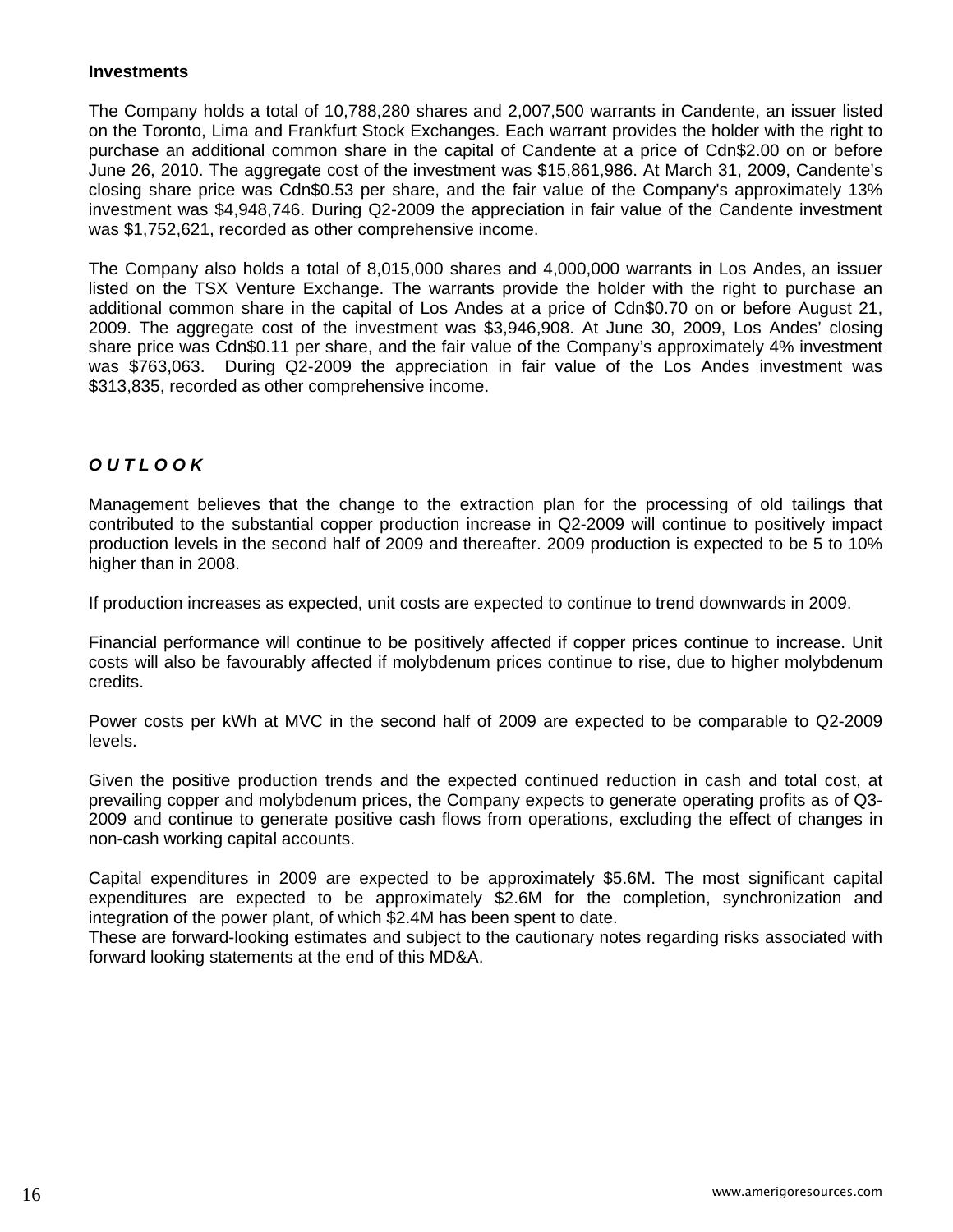#### **Investments**

The Company holds a total of 10,788,280 shares and 2,007,500 warrants in Candente, an issuer listed on the Toronto, Lima and Frankfurt Stock Exchanges. Each warrant provides the holder with the right to purchase an additional common share in the capital of Candente at a price of Cdn\$2.00 on or before June 26, 2010. The aggregate cost of the investment was \$15,861,986. At March 31, 2009, Candente's closing share price was Cdn\$0.53 per share, and the fair value of the Company's approximately 13% investment was \$4,948,746. During Q2-2009 the appreciation in fair value of the Candente investment was \$1,752,621, recorded as other comprehensive income.

The Company also holds a total of 8,015,000 shares and 4,000,000 warrants in Los Andes, an issuer listed on the TSX Venture Exchange. The warrants provide the holder with the right to purchase an additional common share in the capital of Los Andes at a price of Cdn\$0.70 on or before August 21, 2009. The aggregate cost of the investment was \$3,946,908. At June 30, 2009, Los Andes' closing share price was Cdn\$0.11 per share, and the fair value of the Company's approximately 4% investment was \$763,063. During Q2-2009 the appreciation in fair value of the Los Andes investment was \$313,835, recorded as other comprehensive income.

# *O U T L O O K*

Management believes that the change to the extraction plan for the processing of old tailings that contributed to the substantial copper production increase in Q2-2009 will continue to positively impact production levels in the second half of 2009 and thereafter. 2009 production is expected to be 5 to 10% higher than in 2008.

If production increases as expected, unit costs are expected to continue to trend downwards in 2009.

Financial performance will continue to be positively affected if copper prices continue to increase. Unit costs will also be favourably affected if molybdenum prices continue to rise, due to higher molybdenum credits.

Power costs per kWh at MVC in the second half of 2009 are expected to be comparable to Q2-2009 levels.

Given the positive production trends and the expected continued reduction in cash and total cost, at prevailing copper and molybdenum prices, the Company expects to generate operating profits as of Q3- 2009 and continue to generate positive cash flows from operations, excluding the effect of changes in non-cash working capital accounts.

Capital expenditures in 2009 are expected to be approximately \$5.6M. The most significant capital expenditures are expected to be approximately \$2.6M for the completion, synchronization and integration of the power plant, of which \$2.4M has been spent to date.

These are forward-looking estimates and subject to the cautionary notes regarding risks associated with forward looking statements at the end of this MD&A.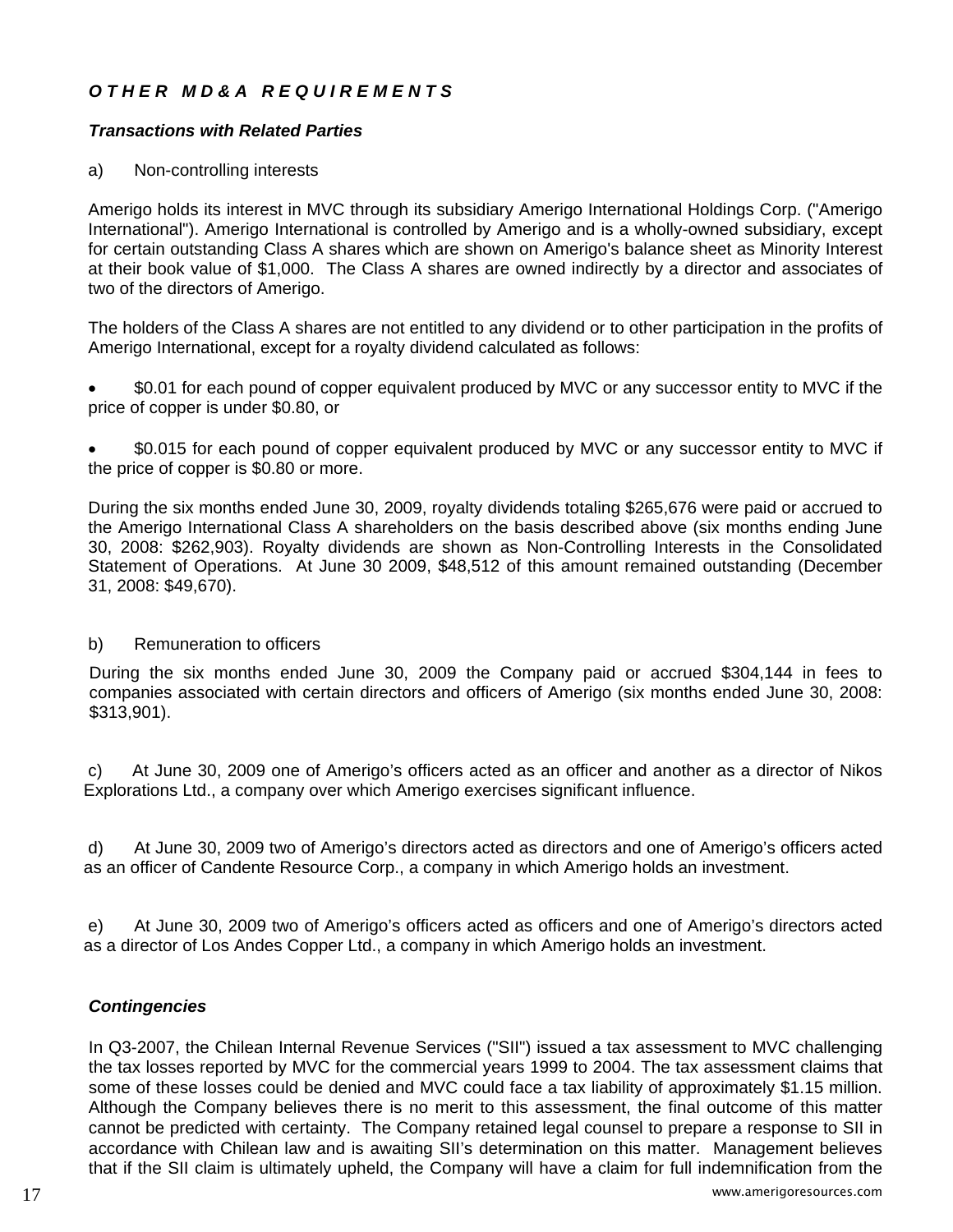# *O T H E R M D & A R E Q U I R E M E N T S*

# *Transactions with Related Parties*

# a) Non-controlling interests

Amerigo holds its interest in MVC through its subsidiary Amerigo International Holdings Corp. ("Amerigo International"). Amerigo International is controlled by Amerigo and is a wholly-owned subsidiary, except for certain outstanding Class A shares which are shown on Amerigo's balance sheet as Minority Interest at their book value of \$1,000. The Class A shares are owned indirectly by a director and associates of two of the directors of Amerigo.

The holders of the Class A shares are not entitled to any dividend or to other participation in the profits of Amerigo International, except for a royalty dividend calculated as follows:

• \$0.01 for each pound of copper equivalent produced by MVC or any successor entity to MVC if the price of copper is under \$0.80, or

• \$0.015 for each pound of copper equivalent produced by MVC or any successor entity to MVC if the price of copper is \$0.80 or more.

During the six months ended June 30, 2009, royalty dividends totaling \$265,676 were paid or accrued to the Amerigo International Class A shareholders on the basis described above (six months ending June 30, 2008: \$262,903). Royalty dividends are shown as Non-Controlling Interests in the Consolidated Statement of Operations. At June 30 2009, \$48,512 of this amount remained outstanding (December 31, 2008: \$49,670).

# b) Remuneration to officers

During the six months ended June 30, 2009 the Company paid or accrued \$304,144 in fees to companies associated with certain directors and officers of Amerigo (six months ended June 30, 2008: \$313,901).

c) At June 30, 2009 one of Amerigo's officers acted as an officer and another as a director of Nikos Explorations Ltd., a company over which Amerigo exercises significant influence.

d) At June 30, 2009 two of Amerigo's directors acted as directors and one of Amerigo's officers acted as an officer of Candente Resource Corp., a company in which Amerigo holds an investment.

e) At June 30, 2009 two of Amerigo's officers acted as officers and one of Amerigo's directors acted as a director of Los Andes Copper Ltd., a company in which Amerigo holds an investment.

# *Contingencies*

 www.amerigoresources.com 17 In Q3-2007, the Chilean Internal Revenue Services ("SII") issued a tax assessment to MVC challenging the tax losses reported by MVC for the commercial years 1999 to 2004. The tax assessment claims that some of these losses could be denied and MVC could face a tax liability of approximately \$1.15 million. Although the Company believes there is no merit to this assessment, the final outcome of this matter cannot be predicted with certainty. The Company retained legal counsel to prepare a response to SII in accordance with Chilean law and is awaiting SII's determination on this matter. Management believes that if the SII claim is ultimately upheld, the Company will have a claim for full indemnification from the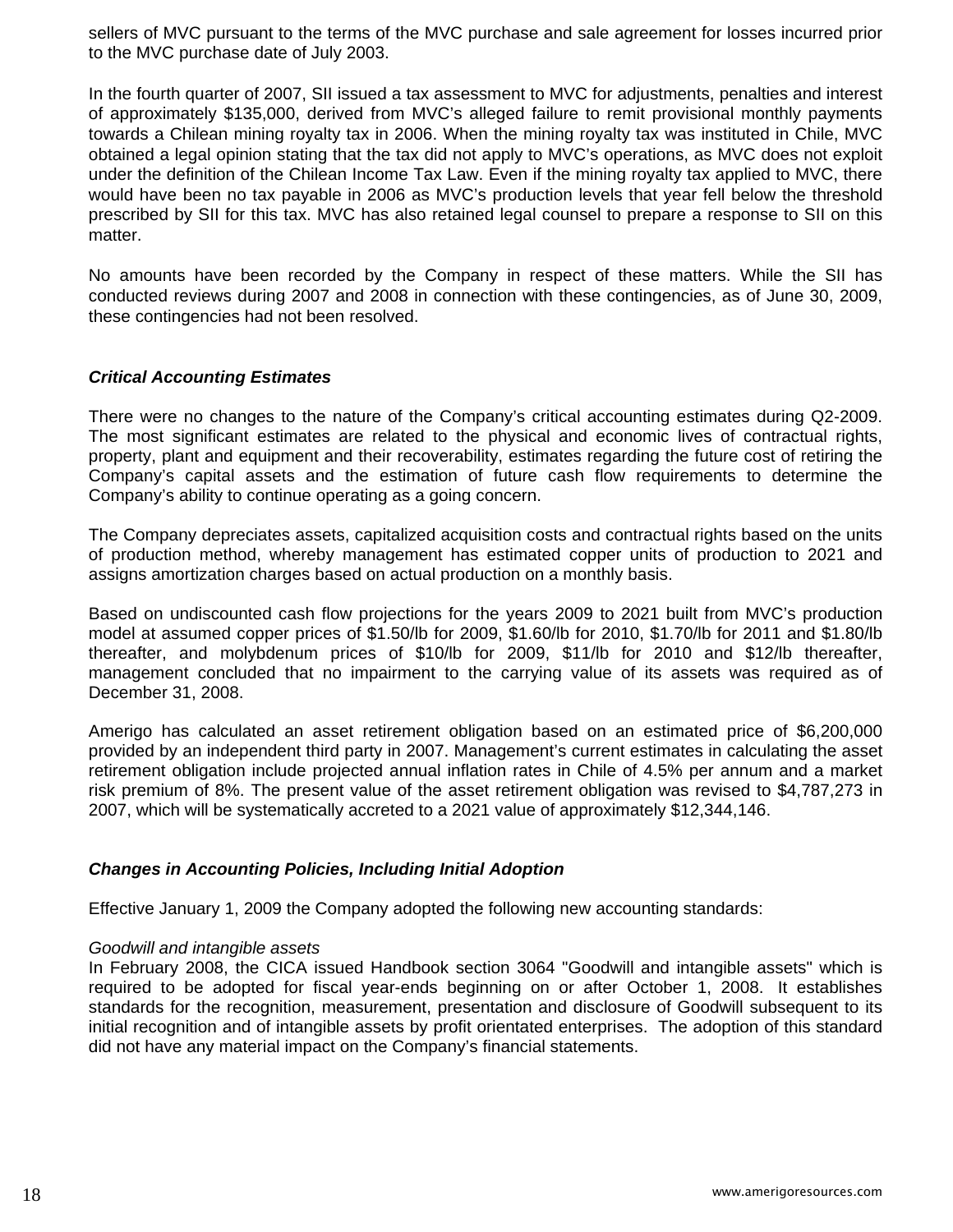sellers of MVC pursuant to the terms of the MVC purchase and sale agreement for losses incurred prior to the MVC purchase date of July 2003.

In the fourth quarter of 2007, SII issued a tax assessment to MVC for adjustments, penalties and interest of approximately \$135,000, derived from MVC's alleged failure to remit provisional monthly payments towards a Chilean mining royalty tax in 2006. When the mining royalty tax was instituted in Chile, MVC obtained a legal opinion stating that the tax did not apply to MVC's operations, as MVC does not exploit under the definition of the Chilean Income Tax Law. Even if the mining royalty tax applied to MVC, there would have been no tax payable in 2006 as MVC's production levels that year fell below the threshold prescribed by SII for this tax. MVC has also retained legal counsel to prepare a response to SII on this matter.

No amounts have been recorded by the Company in respect of these matters. While the SII has conducted reviews during 2007 and 2008 in connection with these contingencies, as of June 30, 2009, these contingencies had not been resolved.

### *Critical Accounting Estimates*

There were no changes to the nature of the Company's critical accounting estimates during Q2-2009. The most significant estimates are related to the physical and economic lives of contractual rights, property, plant and equipment and their recoverability, estimates regarding the future cost of retiring the Company's capital assets and the estimation of future cash flow requirements to determine the Company's ability to continue operating as a going concern.

The Company depreciates assets, capitalized acquisition costs and contractual rights based on the units of production method, whereby management has estimated copper units of production to 2021 and assigns amortization charges based on actual production on a monthly basis.

Based on undiscounted cash flow projections for the years 2009 to 2021 built from MVC's production model at assumed copper prices of \$1.50/lb for 2009, \$1.60/lb for 2010, \$1.70/lb for 2011 and \$1.80/lb thereafter, and molybdenum prices of \$10/lb for 2009, \$11/lb for 2010 and \$12/lb thereafter, management concluded that no impairment to the carrying value of its assets was required as of December 31, 2008.

Amerigo has calculated an asset retirement obligation based on an estimated price of \$6,200,000 provided by an independent third party in 2007. Management's current estimates in calculating the asset retirement obligation include projected annual inflation rates in Chile of 4.5% per annum and a market risk premium of 8%. The present value of the asset retirement obligation was revised to \$4,787,273 in 2007, which will be systematically accreted to a 2021 value of approximately \$12,344,146.

#### *Changes in Accounting Policies, Including Initial Adoption*

Effective January 1, 2009 the Company adopted the following new accounting standards:

#### *Goodwill and intangible assets*

In February 2008, the CICA issued Handbook section 3064 "Goodwill and intangible assets" which is required to be adopted for fiscal year-ends beginning on or after October 1, 2008. It establishes standards for the recognition, measurement, presentation and disclosure of Goodwill subsequent to its initial recognition and of intangible assets by profit orientated enterprises. The adoption of this standard did not have any material impact on the Company's financial statements.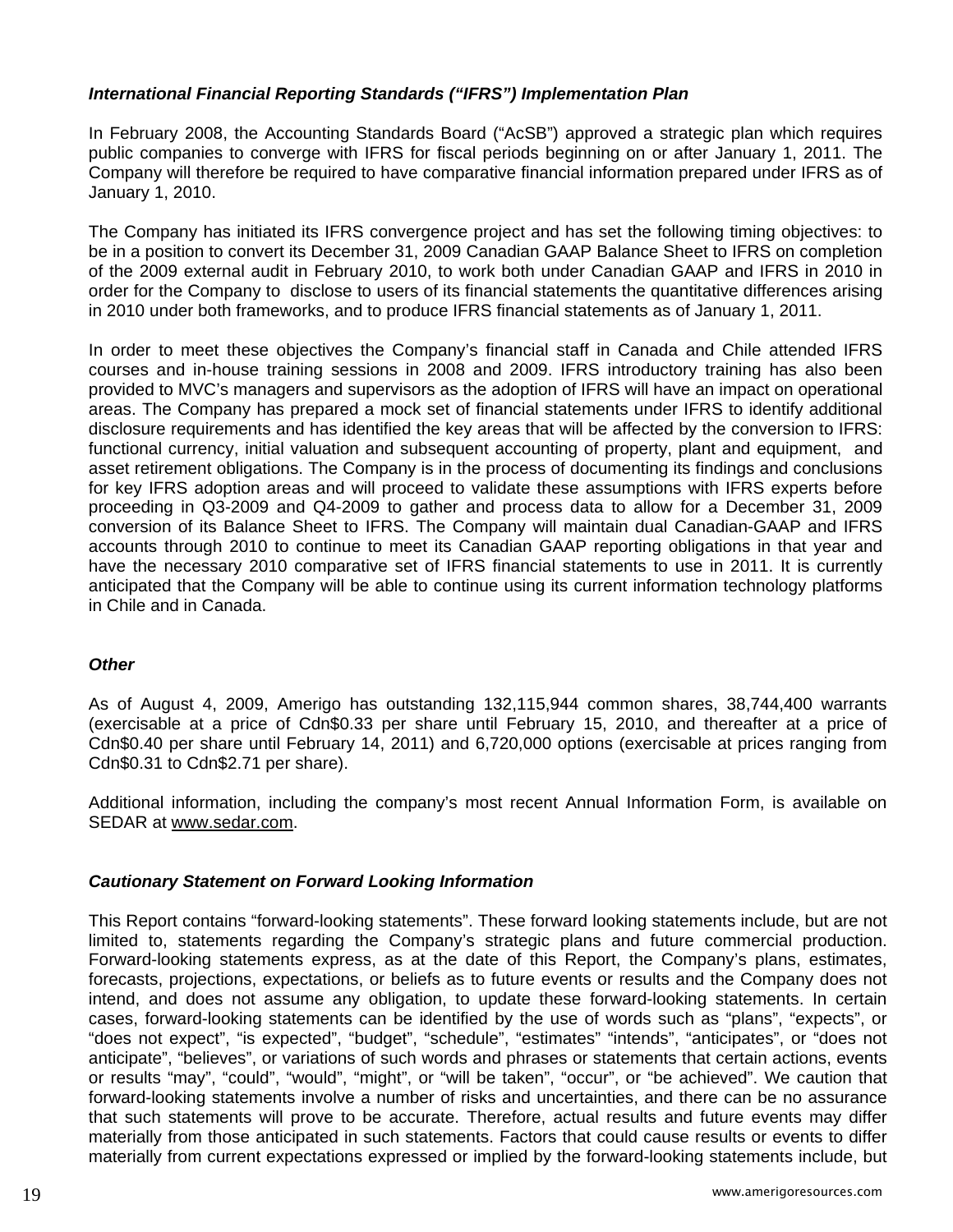# *International Financial Reporting Standards ("IFRS") Implementation Plan*

In February 2008, the Accounting Standards Board ("AcSB") approved a strategic plan which requires public companies to converge with IFRS for fiscal periods beginning on or after [January 1, 2011.](javascript:void(0);) The Company will therefore be required to have comparative financial information prepared under IFRS as of [January 1, 2010.](javascript:void(0);)

The Company has initiated its IFRS convergence project and has set the following timing objectives: to be in a position to convert its [December 31, 2009](javascript:void(0);) Canadian GAAP Balance Sheet to IFRS on completion of the 2009 external audit in February 2010, to work both under Canadian GAAP and IFRS in 2010 in order for the Company to disclose to users of its financial statements the quantitative differences arising in 2010 under both frameworks, and to produce IFRS financial statements as of [January 1, 2011](javascript:void(0);).

In order to meet these objectives the Company's financial staff in Canada and Chile attended IFRS courses and in-house training sessions in 2008 and 2009. IFRS introductory training has also been provided to MVC's managers and supervisors as the adoption of IFRS will have an impact on operational areas. The Company has prepared a mock set of financial statements under IFRS to identify additional disclosure requirements and has identified the key areas that will be affected by the conversion to IFRS: functional currency, initial valuation and subsequent accounting of property, plant and equipment, and asset retirement obligations. The Company is in the process of documenting its findings and conclusions for key IFRS adoption areas and will proceed to validate these assumptions with IFRS experts before proceeding in Q3-2009 and Q4-2009 to gather and process data to allow for a December 31, 2009 conversion of its Balance Sheet to IFRS. The Company will maintain dual Canadian-GAAP and IFRS accounts through 2010 to continue to meet its Canadian GAAP reporting obligations in that year and have the necessary 2010 comparative set of IFRS financial statements to use in 2011. It is currently anticipated that the Company will be able to continue using its current information technology platforms in Chile and in Canada.

# *Other*

As of August 4, 2009, Amerigo has outstanding 132,115,944 common shares, 38,744,400 warrants (exercisable at a price of Cdn\$0.33 per share until February 15, 2010, and thereafter at a price of Cdn\$0.40 per share until February 14, 2011) and 6,720,000 options (exercisable at prices ranging from Cdn\$0.31 to Cdn\$2.71 per share).

Additional information, including the company's most recent Annual Information Form, is available on SEDAR at [www.sedar.com](http://www.sedar.com/).

#### *Cautionary Statement on Forward Looking Information*

This Report contains "forward-looking statements". These forward looking statements include, but are not limited to, statements regarding the Company's strategic plans and future commercial production. Forward-looking statements express, as at the date of this Report, the Company's plans, estimates, forecasts, projections, expectations, or beliefs as to future events or results and the Company does not intend, and does not assume any obligation, to update these forward-looking statements. In certain cases, forward-looking statements can be identified by the use of words such as "plans", "expects", or "does not expect", "is expected", "budget", "schedule", "estimates" "intends", "anticipates", or "does not anticipate", "believes", or variations of such words and phrases or statements that certain actions, events or results "may", "could", "would", "might", or "will be taken", "occur", or "be achieved". We caution that forward-looking statements involve a number of risks and uncertainties, and there can be no assurance that such statements will prove to be accurate. Therefore, actual results and future events may differ materially from those anticipated in such statements. Factors that could cause results or events to differ materially from current expectations expressed or implied by the forward-looking statements include, but